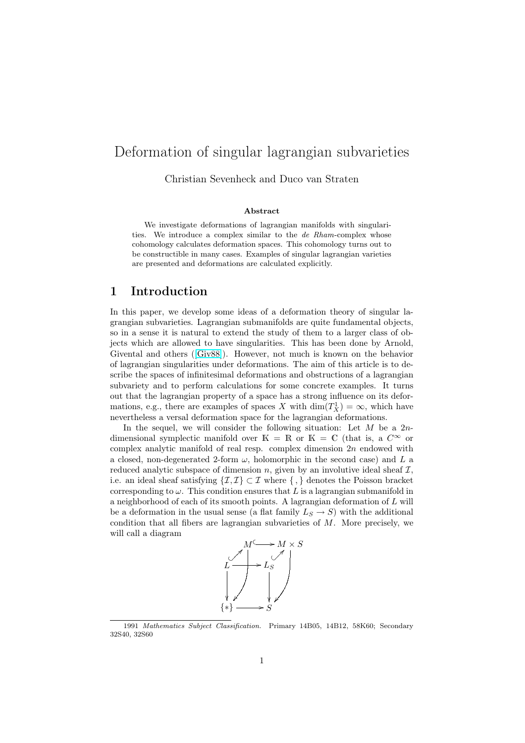# Deformation of singular lagrangian subvarieties

Christian Sevenheck and Duco van Straten

#### Abstract

We investigate deformations of lagrangian manifolds with singularities. We introduce a complex similar to the de Rham-complex whose cohomology calculates deformation spaces. This cohomology turns out to be constructible in many cases. Examples of singular lagrangian varieties are presented and deformations are calculated explicitly.

### 1 Introduction

In this paper, we develop some ideas of a deformation theory of singular lagrangian subvarieties. Lagrangian submanifolds are quite fundamental objects, so in a sense it is natural to extend the study of them to a larger class of objects which are allowed to have singularities. This has been done by Arnold, Givental and others ([Giv88]). However, not much is known on the behavior of lagrangian singularities under deformations. The aim of this article is to describe the spaces of infinitesimal deformations and obstructions of a lagrangian subvariety and to perform calculations for some concrete examples. It turns out that the lagrangia[n prop](#page-20-0)erty of a space has a strong influence on its deformations, e.g., there are examples of spaces X with  $\dim(T_X^1) = \infty$ , which have nevertheless a versal deformation space for the lagrangian deformations.

In the sequel, we will consider the following situation: Let  $M$  be a  $2n$ dimensional symplectic manifold over K = R or K = C (that is, a  $C^{\infty}$  or complex analytic manifold of real resp. complex dimension  $2n$  endowed with a closed, non-degenerated 2-form  $\omega$ , holomorphic in the second case) and L a reduced analytic subspace of dimension  $n$ , given by an involutive ideal sheaf  $\mathcal{I}$ , i.e. an ideal sheaf satisfying  $\{\mathcal{I},\mathcal{I}\}\subset\mathcal{I}$  where  $\{\, ,\}$  denotes the Poisson bracket corresponding to  $\omega$ . This condition ensures that L is a lagrangian submanifold in a neighborhood of each of its smooth points. A lagrangian deformation of L will be a deformation in the usual sense (a flat family  $L_S \to S$ ) with the additional condition that all fibers are lagrangian subvarieties of M. More precisely, we will call a diagram



<sup>1991</sup> Mathematics Subject Classification. Primary 14B05, 14B12, 58K60; Secondary 32S40, 32S60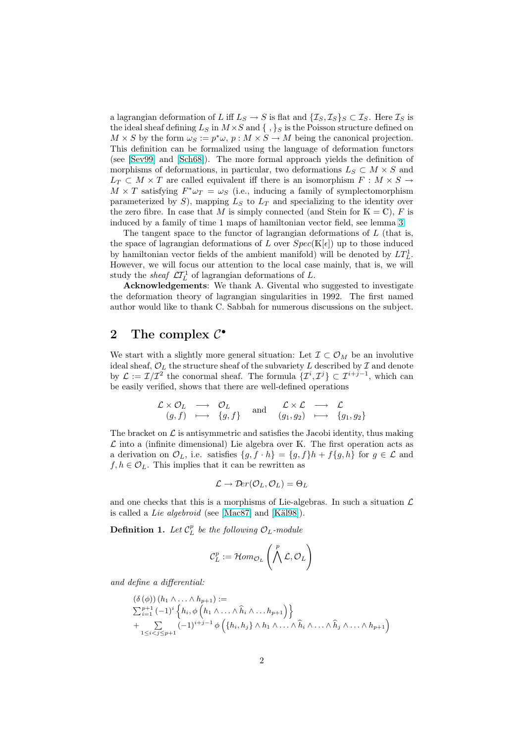a lagrangian deformation of L iff  $L_S \to S$  is flat and  $\{I_S, I_S\}_S \subset I_S$ . Here  $I_S$  is the ideal sheaf defining  $L_S$  in  $M \times S$  and  $\{ , \} _S$  is the Poisson structure defined on  $M \times S$  by the form  $\omega_S := p^* \omega$ ,  $p : M \times S \to M$  being the canonical projection. This definition can be formalized using the language of deformation functors (see [Sev99] and [Sch68]). The more formal approach yields the definition of morphisms of deformations, in particular, two deformations  $L_S \subset M \times S$  and  $L_T \subset M \times T$  are called equivalent iff there is an isomorphism  $F : M \times S \to$  $M \times T$  satisfying  $F^* \omega_T = \omega_S$  (i.e., inducing a family of symplectomorphism para[meteriz](#page-21-0)ed by S[\), m](#page-21-0)apping  $L_S$  to  $L_T$  and specializing to the identity over the zero fibre. In case that M is simply connected (and Stein for  $K = \mathbb{C}$ ), F is induced by a family of time 1 maps of hamiltonian vector field, see lemma 3.

The tangent space to the functor of lagrangian deformations of L (that is, the space of lagrangian deformations of L over  $Spec(\mathbb{K}[\epsilon])$  up to those induced by hamiltonian vector fields of the ambient manifold) will be denoted by  $LT<sub>L</sub><sup>1</sup>$ . However, we will focus our attention to the local case mainly, that is, we [w](#page-5-0)ill study the *sheaf*  $\mathcal{L}T_L^1$  of lagrangian deformations of L.

Acknowledgements: We thank A. Givental who suggested to investigate the deformation theory of lagrangian singularities in 1992. The first named author would like to thank C. Sabbah for numerous discussions on the subject.

## 2 The complex  $\mathcal{C}^{\bullet}$

We start with a slightly more general situation: Let  $\mathcal{I} \subset \mathcal{O}_M$  be an involutive ideal sheaf,  $\mathcal{O}_L$  the structure sheaf of the subvariety L described by  $\mathcal I$  and denote by  $\mathcal{L} := \mathcal{I}/\mathcal{I}^2$  the conormal sheaf. The formula  $\{\mathcal{I}^i, \mathcal{I}^j\} \subset \mathcal{I}^{i+j-1}$ , which can be easily verified, shows that there are well-defined operations

$$
\begin{array}{ccc}\n\mathcal{L} \times \mathcal{O}_L & \longrightarrow & \mathcal{O}_L \\
(g, f) & \longmapsto & \{g, f\} & \text{and} & (g_1, g_2) & \longmapsto & \{g_1, g_2\}\n\end{array}
$$

The bracket on  $\mathcal L$  is antisymmetric and satisfies the Jacobi identity, thus making  $\mathcal L$  into a (infinite dimensional) Lie algebra over K. The first operation acts as a derivation on  $\mathcal{O}_L$ , i.e. satisfies  $\{g, f \cdot h\} = \{g, f\}h + f\{g, h\}$  for  $g \in \mathcal{L}$  and  $f, h \in \mathcal{O}_L$ . This implies that it can be rewritten as

$$
\mathcal{L} \to \mathcal{D}\!er(\mathcal{O}_L, \mathcal{O}_L) = \Theta_L
$$

and one checks that this is a morphisms of Lie-algebras. In such a situation  $\mathcal L$ is called a Lie algebroid (see [Mac87] and [Käl98]).

**Definition 1.** Let  $C_{L}^{p}$  be the following  $\mathcal{O}_{L}$ -module

$$
\mathcal{C}^p_L := \mathcal{H}om_{\mathcal{O}_L}\left(\bigwedge^p \mathcal{L}, \mathcal{O}_L\right)
$$

and define a differential:

$$
(\delta (\phi))(h_1 \wedge \ldots \wedge h_{p+1}) :=
$$
  
\n
$$
\sum_{i=1}^{p+1} (-1)^i \left\{ h_i, \phi \left( h_1 \wedge \ldots \wedge \widehat{h}_i \wedge \ldots h_{p+1} \right) \right\}
$$
  
\n
$$
+ \sum_{1 \leq i < j \leq p+1} (-1)^{i+j-1} \phi \left( \{ h_i, h_j \} \wedge h_1 \wedge \ldots \wedge \widehat{h}_i \wedge \ldots \wedge \widehat{h}_j \wedge \ldots \wedge h_{p+1} \right)
$$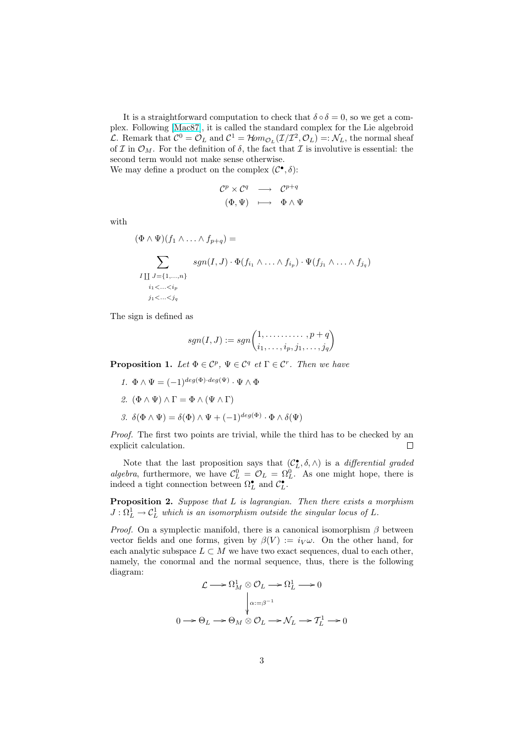It is a straightforward computation to check that  $\delta \circ \delta = 0$ , so we get a complex. Following [Mac87], it is called the standard complex for the Lie algebroid L. Remark that  $C^0 = O_L$  and  $C^1 = H \circ m_{O_L}(\mathcal{I}/\mathcal{I}^2, \mathcal{O}_L) =: \mathcal{N}_L$ , the normal sheaf of I in  $\mathcal{O}_M$ . For the definition of  $\delta$ , the fact that I is involutive is essential: the second term would not make sense otherwise. We may define [a produc](#page-20-0)t on the complex  $(C^{\bullet}, \delta)$ :

$$
\begin{array}{ccc}\n\mathcal{C}^p \times \mathcal{C}^q & \longrightarrow & \mathcal{C}^{p+q} \\
(\Phi, \Psi) & \longmapsto & \Phi \wedge \Psi\n\end{array}
$$

with

$$
(\Phi \wedge \Psi)(f_1 \wedge \ldots \wedge f_{p+q}) =
$$
\n
$$
\sum_{\substack{I \coprod J = \{1, \ldots, n\} \\ i_1 < \ldots < i_p}} sgn(I, J) \cdot \Phi(f_{i_1} \wedge \ldots \wedge f_{i_p}) \cdot \Psi(f_{j_1} \wedge \ldots \wedge f_{j_q})
$$

The sign is defined as

$$
sgn(I, J) := sgn\begin{pmatrix} 1, \dots, & p+q \\ i_1, \dots, i_p, j_1, \dots, j_q \end{pmatrix}
$$

**Proposition 1.** Let  $\Phi \in \mathcal{C}^p$ ,  $\Psi \in \mathcal{C}^q$  et  $\Gamma \in \mathcal{C}^r$ . Then we have

- 1.  $\Phi \wedge \Psi = (-1)^{deg(\Phi) \cdot deg(\Psi)} \cdot \Psi \wedge \Phi$ 2.  $(\Phi \wedge \Psi) \wedge \Gamma = \Phi \wedge (\Psi \wedge \Gamma)$
- 3.  $\delta(\Phi \wedge \Psi) = \delta(\Phi) \wedge \Psi + (-1)^{deg(\Phi)} \cdot \Phi \wedge \delta(\Psi)$

Proof. The first two points are trivial, while the third has to be checked by an explicit calculation.  $\Box$ 

Note that the last proposition says that  $(C_L, \delta, \wedge)$  is a *differential graded* algebra, furthermore, we have  $C_L^0 = \mathcal{O}_L = \Omega_L^0$ . As one might hope, there is indeed a tight connection between  $\Omega_L^{\bullet}$  and  $C_L^{\bullet}$ .

**Proposition 2.** Suppose that L is lagrangian. Then there exists a morphism  $J: \Omega^1_L \to \mathcal{C}^1_L$  which is an isomorphism outside the singular locus of L.

*Proof.* On a symplectic manifold, there is a canonical isomorphism  $\beta$  between vector fields and one forms, given by  $\beta(V) := i_V \omega$ . On the other hand, for each analytic subspace  $L \subset M$  we have two exact sequences, dual to each other, namely, the conormal and the normal sequence, thus, there is the following diagram:

$$
\mathcal{L} \longrightarrow \Omega^1_M \otimes \mathcal{O}_L \longrightarrow \Omega^1_L \longrightarrow 0
$$

$$
\downarrow \alpha := \beta^{-1}
$$

$$
0 \longrightarrow \Theta_L \longrightarrow \Theta_M \otimes \mathcal{O}_L \longrightarrow \mathcal{N}_L \longrightarrow \mathcal{T}_L^1 \longrightarrow 0
$$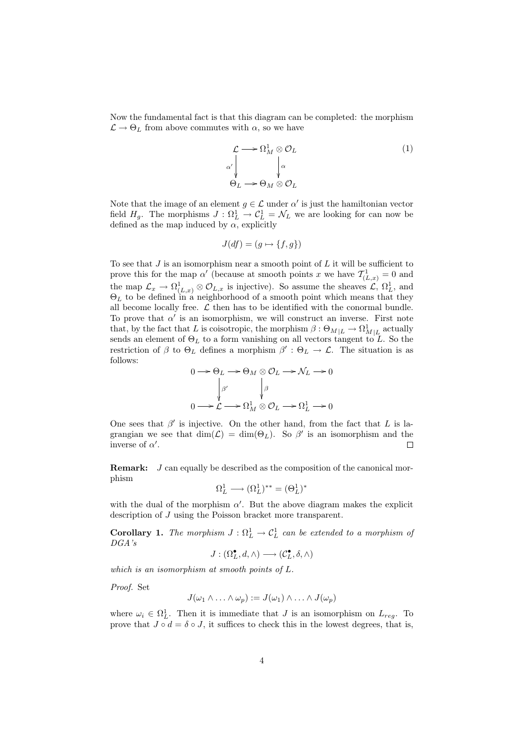<span id="page-3-0"></span>Now the fundamental fact is that this diagram can be completed: the morphism  $\mathcal{L} \rightarrow \Theta_L$  from above commutes with  $\alpha$ , so we have

$$
\mathcal{L} \longrightarrow \Omega_M^1 \otimes \mathcal{O}_L
$$
\n
$$
\alpha' \downarrow \qquad \qquad \downarrow \alpha
$$
\n
$$
\Theta_L \longrightarrow \Theta_M \otimes \mathcal{O}_L
$$
\n(1)

Note that the image of an element  $g \in \mathcal{L}$  under  $\alpha'$  is just the hamiltonian vector field  $H_g$ . The morphisms  $J : \Omega_L^1 \to \mathcal{C}_L^1 = \mathcal{N}_L$  we are looking for can now be defined as the map induced by  $\alpha$ , explicitly

$$
J(df) = (g \mapsto \{f, g\})
$$

To see that  $J$  is an isomorphism near a smooth point of  $L$  it will be sufficient to prove this for the map  $\alpha'$  (because at smooth points x we have  $\mathcal{T}_{(L,x)}^1 = 0$  and the map  $\mathcal{L}_x \to \Omega^1_{(L,x)} \otimes \mathcal{O}_{L,x}$  is injective). So assume the sheaves  $\mathcal{L}, \Omega^1_L$ , and  $\Theta_L$  to be defined in a neighborhood of a smooth point which means that they all become locally free.  $\mathcal L$  then has to be identified with the conormal bundle. To prove that  $\alpha'$  is an isomorphism, we will construct an inverse. First note that, by the fact that L is coisotropic, the morphism  $\beta: \Theta_{M|L} \to \Omega^1_{M|L}$  actually sends an element of  $\Theta_L$  to a form vanishing on all vectors tangent to L. So the restriction of  $\beta$  to  $\Theta_L$  defines a morphism  $\beta': \Theta_L \to \mathcal{L}$ . The situation is as follows:

$$
0 \longrightarrow \Theta_L \longrightarrow \Theta_M \otimes \mathcal{O}_L \longrightarrow \mathcal{N}_L \longrightarrow 0
$$

$$
\downarrow^{\beta'} \qquad \downarrow^{\beta}
$$

$$
0 \longrightarrow \mathcal{L} \longrightarrow \Omega^1_M \otimes \mathcal{O}_L \longrightarrow \Omega^1_L \longrightarrow 0
$$

One sees that  $\beta'$  is injective. On the other hand, from the fact that L is lagrangian we see that  $\dim(\mathcal{L}) = \dim(\Theta_L)$ . So  $\beta'$  is an isomorphism and the inverse of  $\alpha'$ . П

**Remark:**  $J$  can equally be described as the composition of the canonical morphism

$$
\Omega^1_L \longrightarrow (\Omega^1_L)^{**} = (\Theta^1_L)^*
$$

with the dual of the morphism  $\alpha'$ . But the above diagram makes the explicit description of J using the Poisson bracket more transparent.

**Corollary 1.** The morphism  $J : \Omega_L^1 \to \mathcal{C}_L^1$  can be extended to a morphism of DGA's

$$
J:(\Omega^{\bullet}_L,d,\wedge)\longrightarrow(\mathcal{C}^{\bullet}_L,\delta,\wedge)
$$

which is an isomorphism at smooth points of L.

Proof. Set

$$
J(\omega_1 \wedge \ldots \wedge \omega_p) := J(\omega_1) \wedge \ldots \wedge J(\omega_p)
$$

where  $\omega_i \in \Omega_L^1$ . Then it is immediate that J is an isomorphism on  $L_{reg}$ . To prove that  $J \circ d = \delta \circ J$ , it suffices to check this in the lowest degrees, that is,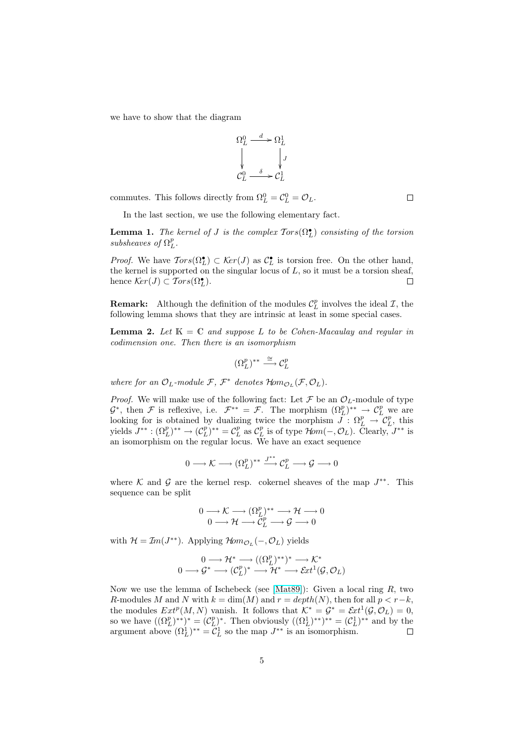we have to show that the diagram

$$
\Omega_L^0 \xrightarrow{d} \Omega_L^1
$$
  
\n
$$
\downarrow J
$$
  
\n
$$
C_L^0 \xrightarrow{\delta} C_L^1
$$

commutes. This follows directly from  $\Omega_L^0 = C_L^0 = \mathcal{O}_L$ .

In the last section, we use the following elementary fact.

**Lemma 1.** The kernel of J is the complex  $Tors(\Omega_L^{\bullet})$  consisting of the torsion subsheaves of  $\Omega_L^p$ .

*Proof.* We have  $Tors(\Omega_L^{\bullet}) \subset \mathcal{K}er(J)$  as  $\mathcal{C}_L^{\bullet}$  is torsion free. On the other hand, the kernel is supported on the singular locus of  $L$ , so it must be a torsion sheaf, hence  $\mathcal{K}er(J) \subset \mathcal{T}ors(\Omega^{\bullet}_L).$  $\Box$ 

**Remark:** Although the definition of the modules  $\mathcal{C}_L^p$  involves the ideal  $\mathcal{I}$ , the following lemma shows that they are intrinsic at least in some special cases.

**Lemma 2.** Let  $K = C$  and suppose L to be Cohen-Macaulay and regular in codimension one. Then there is an isomorphism

$$
(\Omega_L^p)^{**} \stackrel{\cong}{\longrightarrow} \mathcal{C}_L^p
$$

where for an  $\mathcal{O}_L$ -module  $\mathcal{F}, \ \mathcal{F}^*$  denotes  $\mathcal{H}om_{\mathcal{O}_L}(\mathcal{F}, \mathcal{O}_L)$ .

*Proof.* We will make use of the following fact: Let  $\mathcal F$  be an  $\mathcal O_L$ -module of type  $\mathcal{G}^*$ , then  $\mathcal{F}$  is reflexive, i.e.  $\mathcal{F}^{**} = \mathcal{F}$ . The morphism  $(\Omega_L^p)^{**} \to \mathcal{C}_L^p$  we are looking for is obtained by dualizing twice the morphism  $J: \Omega_L^p \to \mathcal{C}_L^p$ , this yields  $J^{**}: (\Omega_L^p)^{**} \to (\mathcal{C}_L^p)^{**} = \mathcal{C}_L^p$  as  $\mathcal{C}_L^p$  is of type  $\mathcal{H}om(-, \mathcal{O}_L)$ . Clearly,  $J^{**}$  is an isomorphism on the regular locus. We have an exact sequence

$$
0 \longrightarrow \mathcal{K} \longrightarrow (\Omega_L^p)^{**} \xrightarrow{J^{**}} \mathcal{C}_L^p \longrightarrow \mathcal{G} \longrightarrow 0
$$

where K and G are the kernel resp. cokernel sheaves of the map  $J^{**}$ . This sequence can be split

$$
0 \longrightarrow \mathcal{K} \longrightarrow (\Omega_L^p)^{**} \longrightarrow \mathcal{H} \longrightarrow 0
$$
  

$$
0 \longrightarrow \mathcal{H} \longrightarrow \mathcal{C}_L^p \longrightarrow \mathcal{G} \longrightarrow 0
$$

with  $\mathcal{H} = \mathcal{I}m(J^{**})$ . Applying  $\mathcal{H}om_{\mathcal{O}_L}(-, \mathcal{O}_L)$  yields

$$
0 \longrightarrow {\mathcal H}^* \longrightarrow ((\Omega^p_L)^{**})^* \longrightarrow {\mathcal K}^*
$$

$$
0 \longrightarrow {\mathcal G}^* \longrightarrow ({\mathcal C}^p_L)^* \longrightarrow {\mathcal H}^* \longrightarrow {\mathcal Ext}^1({\mathcal G},{\mathcal O}_L)
$$

Now we use the lemma of Ischebeck (see [Mat89]): Given a local ring  $R$ , two R-modules M and N with  $k = \dim(M)$  and  $r = depth(N)$ , then for all  $p < r-k$ , the modules  $Ext^p(M, N)$  vanish. It follows that  $K^* = G^* = Ext^1(\mathcal{G}, \mathcal{O}_L) = 0$ , so we have  $((\Omega_L^p)^{**})^* = (\mathcal{C}_L^p)^*$ . Then obviously  $((\Omega_L^1)^{**})^{**} = (\mathcal{C}_L^1)^{**}$  and by the argument above  $(\Omega_L^1)^{**} = \mathcal{C}_L^1$  so the map  $J^{**}$  [is an](#page-21-0) isomorphism.

 $\Box$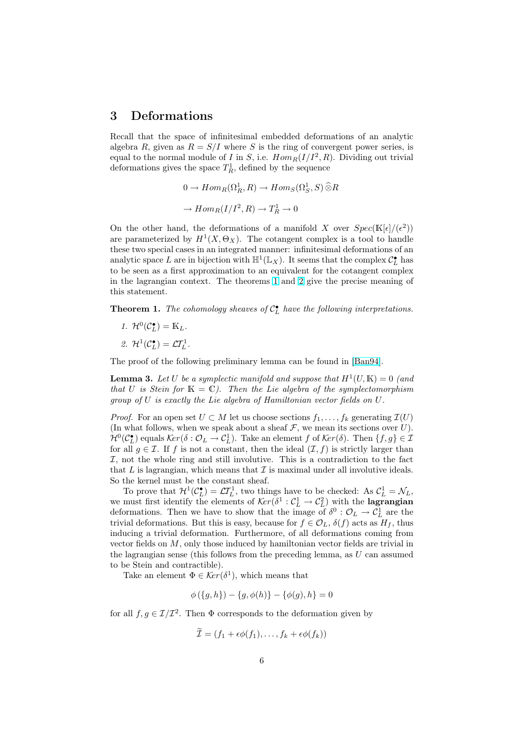#### <span id="page-5-0"></span>3 Deformations

Recall that the space of infinitesimal embedded deformations of an analytic algebra R, given as  $R = S/I$  where S is the ring of convergent power series, is equal to the normal module of I in S, i.e.  $Hom_R(I/I^2, R)$ . Dividing out trivial deformations gives the space  $T_R^1$ , defined by the sequence

$$
0 \to Hom_R(\Omega_R^1, R) \to Hom_S(\Omega_S^1, S) \widehat{\otimes} R
$$
  

$$
\to Hom_R(I/I^2, R) \to T_R^1 \to 0
$$

On the other hand, the deformations of a manifold X over  $Spec(\mathbb{K}[\epsilon]/(\epsilon^2))$ are parameterized by  $H^1(X, \Theta_X)$ . The cotangent complex is a tool to handle these two special cases in an integrated manner: infinitesimal deformations of an analytic space L are in bijection with  $\mathbb{H}^1(\mathbb{L}_X)$ . It seems that the complex  $\mathcal{C}_L^{\bullet}$  has to be seen as a first approximation to an equivalent for the cotangent complex in the lagrangian context. The theorems 1 and 2 give the precise meaning of this statement.

**Theorem 1.** The cohomology sheaves of  $C_{L}^{\bullet}$  have the following interpretations.

1.  $\mathcal{H}^0(\mathcal{C}_L^{\bullet}) = \mathbb{K}_L$ . 2.  $\mathcal{H}^1(\mathcal{C}_L^{\bullet}) = \mathcal{L}\mathcal{T}_L^1$ .

The proof of the following preliminary lemma can be found in [Ban94].

**Lemma 3.** Let U be a symplectic manifold and suppose that  $H^1(U, K) = 0$  (and that U is Stein for  $K = \mathbb{C}$ ). Then the Lie algebra of the symplectomorphism group of U is exactly the Lie algebra of Hamiltonian vector fiel[ds on](#page-20-0) U.

*Proof.* For an open set  $U \subset M$  let us choose sections  $f_1, \ldots, f_k$  generating  $\mathcal{I}(U)$ (In what follows, when we speak about a sheaf  $\mathcal F$ , we mean its sections over U).  $\mathcal{H}^0(\mathcal{C}_L^{\bullet})$  equals  $\mathcal{K}er(\delta : \mathcal{O}_L \to \mathcal{C}_L^1)$ . Take an element f of  $\mathcal{K}er(\delta)$ . Then  $\{f, g\} \in \mathcal{I}$ for all  $g \in \mathcal{I}$ . If f is not a constant, then the ideal  $(\mathcal{I}, f)$  is strictly larger than  $I$ , not the whole ring and still involutive. This is a contradiction to the fact that  $L$  is lagrangian, which means that  $\mathcal I$  is maximal under all involutive ideals. So the kernel must be the constant sheaf.

To prove that  $\mathcal{H}^1(\mathcal{C}_L^{\bullet}) = \mathcal{L}\mathcal{T}_L^1$ , two things have to be checked: As  $\mathcal{C}_L^1 = \mathcal{N}_L$ , we must first identify the elements of  $\mathcal{K}er(\delta^1 : \mathcal{C}_L^1 \to \mathcal{C}_L^2)$  with the **lagrangian** deformations. Then we have to show that the image of  $\delta^0$  :  $\mathcal{O}_L \to \mathcal{C}_L^1$  are the trivial deformations. But this is easy, because for  $f \in \mathcal{O}_L$ ,  $\delta(f)$  acts as  $H_f$ , thus inducing a trivial deformation. Furthermore, of all deformations coming from vector fields on M, only those induced by hamiltonian vector fields are trivial in the lagrangian sense (this follows from the preceding lemma, as  $U$  can assumed to be Stein and contractible).

Take an element  $\Phi \in \mathcal{K}er(\delta^1)$ , which means that

$$
\phi({g,h}) - {g, \phi(h)} - {\phi(g), h} = 0
$$

for all  $f, g \in \mathcal{I}/\mathcal{I}^2$ . Then  $\Phi$  corresponds to the deformation given by

$$
\widetilde{\mathcal{I}} = (f_1 + \epsilon \phi(f_1), \dots, f_k + \epsilon \phi(f_k))
$$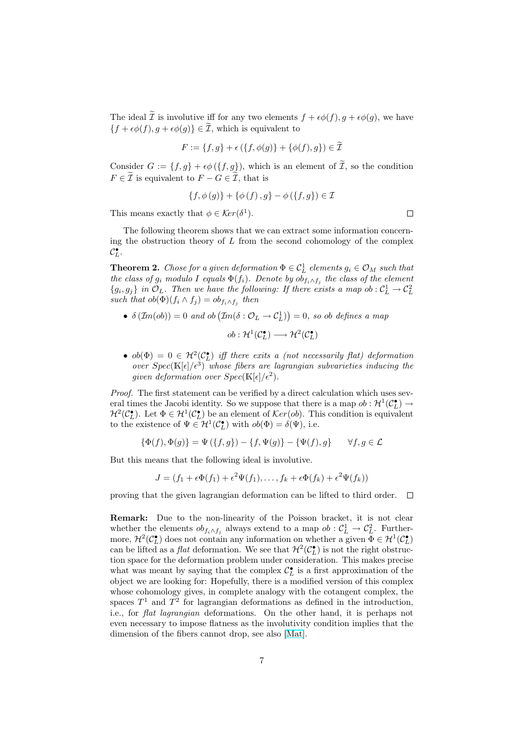The ideal  $\tilde{\mathcal{I}}$  is involutive iff for any two elements  $f + \epsilon \phi(f), g + \epsilon \phi(g)$ , we have  ${f + \epsilon \phi(f), g + \epsilon \phi(g)} \in \tilde{\mathcal{I}}$ , which is equivalent to

$$
F:=\{f,g\}+\epsilon\left(\{f,\phi(g)\}+\{\phi(f),g\}\right)\in\widetilde{\mathcal{I}}
$$

Consider  $G := \{f, g\} + \epsilon \phi (\{f, g\})$ , which is an element of  $\widetilde{\mathcal{I}}$ , so the condition  $F \in \mathcal{I}$  is equivalent to  $F - G \in \mathcal{I}$ , that is

$$
\{f, \phi(g)\} + \{\phi(f), g\} - \phi(\{f, g\}) \in \mathcal{I}
$$

This means exactly that  $\phi \in \mathcal{K}er(\delta^1)$ .

The following theorem shows that we can extract some information concerning the obstruction theory of  $L$  from the second cohomology of the complex  $\mathcal{C}_L^{\bullet}$ .

**Theorem 2.** Chose for a given deformation  $\Phi \in \mathcal{C}_L^1$  elements  $g_i \in \mathcal{O}_M$  such that the class of  $g_i$  modulo I equals  $\Phi(f_i)$ . Denote by  $ob_{f_i \wedge f_j}$  the class of the element  $\{g_i, g_j\}$  in  $\mathcal{O}_L$ . Then we have the following: If there exists a map ob :  $\mathcal{C}_L^1 \to \mathcal{C}_L^2$ such that  $ob(\Phi)(f_i \wedge f_j) = ob_{f_i \wedge f_j}$  then

•  $\delta \left( \mathcal{I}m(obj) \right) = 0$  and  $ob \left( \mathcal{I}m(\delta : \mathcal{O}_L \rightarrow \mathcal{C}_L^1) \right)$ ¢  $= 0$ , so ob defines a map

$$
ob: \mathcal{H}^1(\mathcal{C}_L^{\bullet}) \longrightarrow \mathcal{H}^2(\mathcal{C}_L^{\bullet})
$$

•  $ob(\Phi) = 0 \in H^2(\mathcal{C}_{L}^{\bullet})$  iff there exits a (not necessarily flat) deformation over  $Spec(\mathbb{K}[\epsilon]/\epsilon^3)$  whose fibers are lagrangian subvarieties inducing the given deformation over  $Spec(\mathbb{K}[\epsilon]/\epsilon^2)$ .

Proof. The first statement can be verified by a direct calculation which uses several times the Jacobi identity. So we suppose that there is a map  $ob: \mathcal{H}^1(\mathcal{C}_L^{\bullet}) \to$  $\mathcal{H}^2(\mathcal{C}_L^{\bullet})$ . Let  $\Phi \in \mathcal{H}^1(\mathcal{C}_L^{\bullet})$  be an element of  $\mathcal{K}er(obj)$ . This condition is equivalent to the existence of  $\Psi \in H^1(\mathcal{C}_L^{\bullet})$  with  $ob(\Phi) = \delta(\Psi)$ , i.e.

$$
\{\Phi(f), \Phi(g)\} = \Psi(\{f, g\}) - \{f, \Psi(g)\} - \{\Psi(f), g\} \qquad \forall f, g \in \mathcal{L}
$$

But this means that the following ideal is involutive.

$$
J = (f_1 + \epsilon \Phi(f_1) + \epsilon^2 \Psi(f_1), \dots, f_k + \epsilon \Phi(f_k) + \epsilon^2 \Psi(f_k))
$$

proving that the given lagrangian deformation can be lifted to third order.  $\Box$ 

Remark: Due to the non-linearity of the Poisson bracket, it is not clear whether the elements  $ob_{f_i \wedge f_j}$  always extend to a map  $ob: \mathcal{C}_L^1 \to \mathcal{C}_L^2$ . Furthermore,  $\mathcal{H}^2(\mathcal{C}_{L}^{\bullet})$  does not contain any information on whether a given  $\bar{\Phi} \in \mathcal{H}^1(\mathcal{C}_{L}^{\bullet})$ can be lifted as a *flat* deformation. We see that  $\mathcal{H}^2(\mathcal{C}_L^{\bullet})$  is not the right obstruction space for the deformation problem under consideration. This makes precise what was meant by saying that the complex  $\mathcal{C}_{L}^{\bullet}$  is a first approximation of the object we are looking for: Hopefully, there is a modified version of this complex whose cohomology gives, in complete analogy with the cotangent complex, the spaces  $T^1$  and  $T^2$  for lagrangian deformations as defined in the introduction, i.e., for flat lagrangian deformations. On the other hand, it is perhaps not even necessary to impose flatness as the involutivity condition implies that the dimension of the fibers cannot drop, see also [Mat].

 $\Box$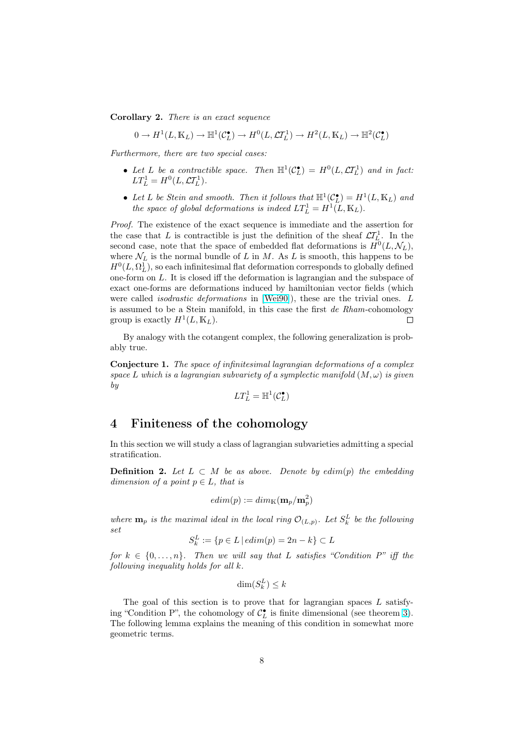<span id="page-7-0"></span>Corollary 2. There is an exact sequence

$$
0 \to H^1(L, \mathbb{K}_L) \to \mathbb{H}^1(\mathcal{C}_L^{\bullet}) \to H^0(L, \mathcal{L}T_L^1) \to H^2(L, \mathbb{K}_L) \to \mathbb{H}^2(\mathcal{C}_L^{\bullet})
$$

Furthermore, there are two special cases:

- Let L be a contractible space. Then  $\mathbb{H}^1(\mathcal{C}_L^{\bullet}) = H^0(L, \mathcal{L}I_L^1)$  and in fact:  $LT_L^1 = H^0(L, \mathcal{L}I_L^1).$
- Let L be Stein and smooth. Then it follows that  $\mathbb{H}^1(\mathcal{C}_L^{\bullet}) = H^1(L, \mathbb{K}_L)$  and the space of global deformations is indeed  $LT_L^1 = H^1(L, \mathbb{K}_L)$ .

Proof. The existence of the exact sequence is immediate and the assertion for the case that L is contractible is just the definition of the sheaf  $\mathcal{L}T_L^1$ . In the second case, note that the space of embedded flat deformations is  $H^0(L, \mathcal{N}_L)$ , where  $\mathcal{N}_L$  is the normal bundle of L in M. As L is smooth, this happens to be  $H^0(L, \Omega^1_L),$  so each infinitesimal flat deformation corresponds to globally defined one-form on L. It is closed iff the deformation is lagrangian and the subspace of exact one-forms are deformations induced by hamiltonian vector fields (which were called *isodrastic deformations* in [Wei90]), these are the trivial ones. L is assumed to be a Stein manifold, in this case the first de Rham-cohomology group is exactly  $H^1(L, \mathbb{K}_L)$ .  $\Box$ 

By analogy with the cotangent comp[lex, the](#page-21-0) following generalization is probably true.

Conjecture 1. The space of infinitesimal lagrangian deformations of a complex space L which is a lagrangian subvariety of a symplectic manifold  $(M, \omega)$  is given by

$$
LT^1_L = \mathbb{H}^1(\mathcal{C}_L^{\bullet})
$$

### 4 Finiteness of the cohomology

In this section we will study a class of lagrangian subvarieties admitting a special stratification.

**Definition 2.** Let  $L \subset M$  be as above. Denote by edim(p) the embedding dimension of a point  $p \in L$ , that is

$$
edim(p):=dim_{\mathbb{K}}(\mathbf{m}_p/\mathbf{m}_p^2)
$$

where  $\mathbf{m}_p$  is the maximal ideal in the local ring  $\mathcal{O}_{(L,p)}$ . Let  $S_k^L$  be the following set

$$
S_k^L := \{ p \in L \mid edim(p) = 2n - k \} \subset L
$$

for  $k \in \{0, \ldots, n\}$ . Then we will say that L satisfies "Condition P" iff the following inequality holds for all k.

$$
\dim(S^L_k) \leq k
$$

The goal of this section is to prove that for lagrangian spaces  $L$  satisfying "Condition P", the cohomology of  $C_{L}^{\bullet}$  is finite dimensional (see theorem 3). The following lemma explains the meaning of this condition in somewhat more geometric terms.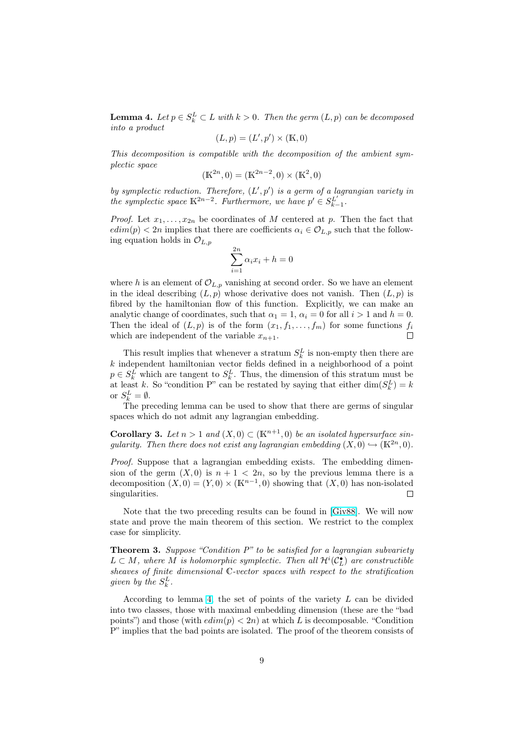<span id="page-8-0"></span>**Lemma 4.** Let  $p \in S_k^L \subset L$  with  $k > 0$ . Then the germ  $(L, p)$  can be decomposed into a product

$$
(L, p) = (L', p') \times (\mathbb{K}, 0)
$$

This decomposition is compatible with the decomposition of the ambient symplectic space

$$
(\mathbb{K}^{2n}, 0) = (\mathbb{K}^{2n-2}, 0) \times (\mathbb{K}^2, 0)
$$

by symplectic reduction. Therefore,  $(L', p')$  is a germ of a lagrangian variety in the symplectic space  $K^{2n-2}$ . Furthermore, we have  $p' \in S_{k-1}^{L'}$ .

*Proof.* Let  $x_1, \ldots, x_{2n}$  be coordinates of M centered at p. Then the fact that  $edim(p) < 2n$  implies that there are coefficients  $\alpha_i \in \mathcal{O}_{L,p}$  such that the following equation holds in  $\mathcal{O}_{L,p}$ 

$$
\sum_{i=1}^{2n} \alpha_i x_i + h = 0
$$

where h is an element of  $\mathcal{O}_{L,p}$  vanishing at second order. So we have an element in the ideal describing  $(L, p)$  whose derivative does not vanish. Then  $(L, p)$  is fibred by the hamiltonian flow of this function. Explicitly, we can make an analytic change of coordinates, such that  $\alpha_1 = 1$ ,  $\alpha_i = 0$  for all  $i > 1$  and  $h = 0$ . Then the ideal of  $(L, p)$  is of the form  $(x_1, f_1, \ldots, f_m)$  for some functions  $f_i$ which are independent of the variable  $x_{n+1}$ .  $\Box$ 

This result implies that whenever a stratum  $S_k^L$  is non-empty then there are  $k$  independent hamiltonian vector fields defined in a neighborhood of a point  $p \in S_k^L$  which are tangent to  $S_k^L$ . Thus, the dimension of this stratum must be at least k. So "condition P" can be restated by saying that either  $\dim(S_k^L) = k$ or  $S_k^L = \emptyset$ .

The preceding lemma can be used to show that there are germs of singular spaces which do not admit any lagrangian embedding.

**Corollary 3.** Let  $n > 1$  and  $(X, 0) \subset (\mathbb{K}^{n+1}, 0)$  be an isolated hypersurface singularity. Then there does not exist any lagrangian embedding  $(X,0) \hookrightarrow (\mathbb{K}^{2n},0)$ .

Proof. Suppose that a lagrangian embedding exists. The embedding dimension of the germ  $(X, 0)$  is  $n + 1 < 2n$ , so by the previous lemma there is a decomposition  $(X,0) = (Y,0) \times (K^{n-1},0)$  showing that  $(X,0)$  has non-isolated singularities.  $\Box$ 

Note that the two preceding results can be found in [Giv88]. We will now state and prove the main theorem of this section. We restrict to the complex case for simplicity.

**Theorem 3.** Suppose "Condition  $P$ " to be satisfied for a [lagrang](#page-20-0)ian subvariety  $L \subset M$ , where M is holomorphic symplectic. Then all  $\mathcal{H}^i(\mathcal{C}^{\bullet}_L)$  are constructible sheaves of finite dimensional C-vector spaces with respect to the stratification given by the  $S_k^L$ .

According to lemma 4, the set of points of the variety L can be divided into two classes, those with maximal embedding dimension (these are the "bad points") and those (with  $edim(p) < 2n$ ) at which L is decomposable. "Condition P" implies that the bad points are isolated. The proof of the theorem consists of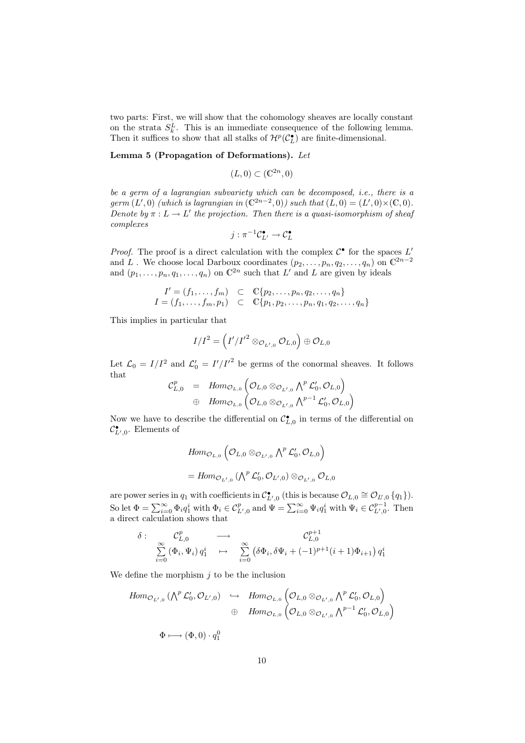<span id="page-9-0"></span>two parts: First, we will show that the cohomology sheaves are locally constant on the strata  $S_k^L$ . This is an immediate consequence of the following lemma. Then it suffices to show that all stalks of  $\mathcal{H}^p(\mathcal{C}^\bullet_L)$  are finite-dimensional.

#### Lemma 5 (Propagation of Deformations). Let

$$
(L,0) \subset (\mathbb{C}^{2n},0)
$$

be a germ of a lagrangian subvariety which can be decomposed, i.e., there is a germ  $(L', 0)$  (which is lagrangian in  $(\mathbb{C}^{2n-2}, 0)$ ) such that  $(L, 0) = (L', 0) \times (\mathbb{C}, 0)$ . Denote by  $\pi : L \to L'$  the projection. Then there is a quasi-isomorphism of sheaf complexes

$$
j:\pi^{-1}\mathcal{C}^{\bullet}_{L'}\to \mathcal{C}^{\bullet}_L
$$

*Proof.* The proof is a direct calculation with the complex  $C^{\bullet}$  for the spaces  $L'$ and L . We choose local Darboux coordinates  $(p_2, \ldots, p_n, q_2, \ldots, q_n)$  on  $\mathbb{C}^{2n-2}$ and  $(p_1, \ldots, p_n, q_1, \ldots, q_n)$  on  $\mathbb{C}^{2n}$  such that  $L'$  and  $L$  are given by ideals

$$
I' = (f_1, ..., f_m) \subset \mathbb{C}\{p_2, ..., p_n, q_2, ..., q_n\}
$$
  

$$
I = (f_1, ..., f_m, p_1) \subset \mathbb{C}\{p_1, p_2, ..., p_n, q_1, q_2, ..., q_n\}
$$

This implies in particular that

$$
I/I^2 = \left(I'/I'^2 \otimes_{\mathcal{O}_{L',0}} \mathcal{O}_{L,0}\right) \oplus \mathcal{O}_{L,0}
$$

Let  $\mathcal{L}_0 = I/I^2$  and  $\mathcal{L}'_0 = I'/I'^2$  be germs of the conormal sheaves. It follows that  $\overline{a}$ ´

$$
\mathcal{C}^p_{L,0} = Hom_{\mathcal{O}_{L,0}}\left(\mathcal{O}_{L,0} \otimes_{\mathcal{O}_{L',0}} \bigwedge^p \mathcal{L}'_0, \mathcal{O}_{L,0}\right) \n\oplus Hom_{\mathcal{O}_{L,0}}\left(\mathcal{O}_{L,0} \otimes_{\mathcal{O}_{L',0}} \bigwedge^{p-1} \mathcal{L}'_0, \mathcal{O}_{L,0}\right)
$$

Now we have to describe the differential on  $\mathcal{C}_{L,0}^{\bullet}$  in terms of the differential on  $\mathcal{C}_{L',0}^{\bullet}$ . Elements of

$$
Hom_{\mathcal{O}_{L,0}}\left(\mathcal{O}_{L,0}\otimes_{\mathcal{O}_{L',0}}\bigwedge^p\mathcal{L}'_0,\mathcal{O}_{L,0}\right)
$$
  
= 
$$
Hom_{\mathcal{O}_{L',0}}\left(\bigwedge^p\mathcal{L}'_0,\mathcal{O}_{L',0}\right)\otimes_{\mathcal{O}_{L',0}}\mathcal{O}_{L,0}
$$

are power series in  $q_1$  with coefficients in  $\mathcal{C}^{\bullet}_{L',0}$  (this is because  $\mathcal{O}_{L,0} \cong \mathcal{O}_{L',0}$   $\{q_1\}$ ). So let  $\Phi = \sum_{i=0}^{\infty} \Phi_i q_1^i$  with  $\Phi_i \in C_{L',0}^p$  and  $\Psi = \sum_{i=0}^{\infty} \Psi_i q_1^i$  with  $\Psi_i \in C_{L',0}^{p-1}$ . Then a direct calculation shows that

$$
\delta: \quad \mathcal{C}_{L,0}^p \longrightarrow \quad \mathcal{C}_{L,0}^{p+1} \longrightarrow \quad \mathcal{C}_{L,0}^{p+1}
$$
\n
$$
\sum_{i=0}^{\infty} \left(\Phi_i, \Psi_i\right) q_1^i \quad \mapsto \quad \sum_{i=0}^{\infty} \left(\delta \Phi_i, \delta \Psi_i + (-1)^{p+1} (i+1) \Phi_{i+1}\right) q_1^i
$$

We define the morphism  $j$  to be the inclusion

$$
\begin{array}{ccc}\nHom_{\mathcal{O}_{L',0}}\left(\bigwedge^p\mathcal{L}'_0, \mathcal{O}_{L',0}\right) & \hookrightarrow & Hom_{\mathcal{O}_{L,0}}\left(\mathcal{O}_{L,0}\otimes_{\mathcal{O}_{L',0}}\bigwedge^p\mathcal{L}'_0, \mathcal{O}_{L,0}\right) \\
& \oplus & Hom_{\mathcal{O}_{L,0}}\left(\mathcal{O}_{L,0}\otimes_{\mathcal{O}_{L',0}}\bigwedge^{p-1}\mathcal{L}'_0, \mathcal{O}_{L,0}\right)\n\end{array}
$$

$$
\Phi \longmapsto (\Phi,0)\cdot q_1^0
$$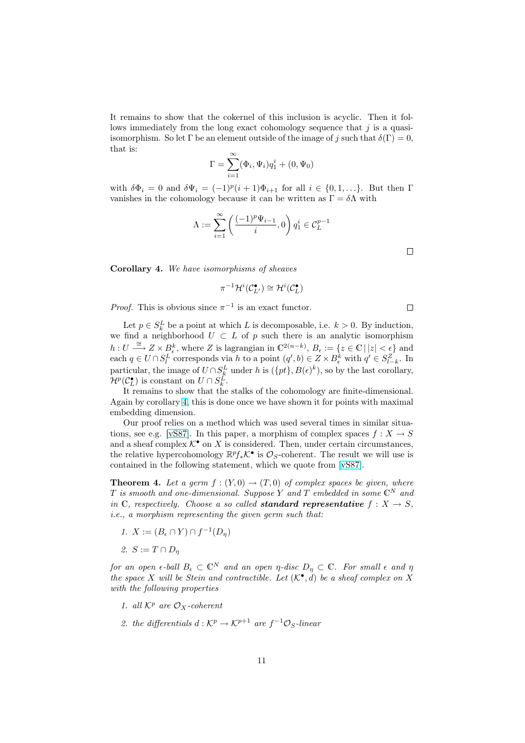It remains to show that the cokernel of this inclusion is acyclic. Then it follows immediately from the long exact cohomology sequence that  $j$  is a quasiisomorphism. So let  $\Gamma$  be an element outside of the image of j such that  $\delta(\Gamma) = 0$ , that is:

$$
\Gamma = \sum_{i=1}^{\infty} (\Phi_i, \Psi_i) q_1^i + (0, \Psi_0)
$$

with  $\delta\Phi_i = 0$  and  $\delta\Psi_i = (-1)^p(i+1)\Phi_{i+1}$  for all  $i \in \{0, 1, ...\}$ . But then  $\Gamma$ vanishes in the cohomology because it can be written as  $\Gamma = \delta \Lambda$  with

$$
\Lambda:=\sum_{i=1}^\infty \left(\frac{(-1)^p\Psi_{i-1}}{i},0\right)q_1^i\in \mathcal{C}_L^{p-1}
$$

 $\Box$ 

Corollary 4. We have isomorphisms of sheaves

$$
\pi^{-1}\mathcal{H}^i(\mathcal{C}^{\bullet}_{L'})\cong \mathcal{H}^i(\mathcal{C}^{\bullet}_L)
$$

*Proof.* This is obvious since  $\pi^{-1}$  is an exact functor.

Let  $p \in S_k^L$  be a point at which L is decomposable, i.e.  $k > 0$ . By induction, we find a neighborhood  $U \subset L$  of p such there is an analytic isomorphism  $h: U \stackrel{\cong}{\longrightarrow} Z \times B_{\epsilon}^{k}$ , where Z is lagrangian in  $\mathbb{C}^{2(n-k)}$ ,  $B_{\epsilon} := \{z \in \mathbb{C} \mid |z| < \epsilon\}$  and each  $q \in U \cap S_l^L$  corresponds via h to a point  $(q', b) \in Z \times B_{\epsilon}^k$  with  $q' \in S_{l-k}^Z$ . In particular, the image of  $U \cap S_k^L$  under h is  $({pt}$ ,  $B(\epsilon)^k$ , so by the last corollary,  $\mathcal{H}^p(\mathcal{C}_L^{\bullet})$  is constant on  $U \cap S_k^L$ .

It remains to show that the stalks of the cohomology are finite-dimensional. Again by corollary 4, this is done once we have shown it for points with maximal embedding dimension.

Our proof relies on a method which was used several times in similar situations, see e.g. [vS87]. In this paper, a morphism of complex spaces  $f: X \to S$ and a sheaf complex  $K^{\bullet}$  on X is considered. Then, under certain circumstances, the relative hypercohomology  $\mathbb{R}^p f_* \mathcal{K}^{\bullet}$  is  $\mathcal{O}_S$ -coherent. The result we will use is contained in the following statement, which we quote from [vS87].

**Theorem 4.** [Let a](#page-21-0) germ  $f : (Y, 0) \to (T, 0)$  of complex spaces be given, where  $T$  is smooth and one-dimensional. Suppose Y and T embedded in some  $\mathbb{C}^N$  and in C, respectively. Choose a so called **standard represen[tative](#page-21-0)**  $f: X \to S$ , i.e., a morphism representing the given germ such that:

- 1.  $X := (B_{\epsilon} \cap Y) \cap f^{-1}(D_{\eta})$
- 2.  $S := T \cap D_n$

for an open  $\epsilon$ -ball  $B_{\epsilon} \subset \mathbb{C}^N$  and an open  $\eta$ -disc  $D_{\eta} \subset \mathbb{C}$ . For small  $\epsilon$  and  $\eta$ the space X will be Stein and contractible. Let  $(\mathcal{K}^{\bullet}, d)$  be a sheaf complex on X with the following properties

- 1. all  $K^p$  are  $\mathcal{O}_X$ -coherent
- 2. the differentials  $d : \mathcal{K}^p \to \mathcal{K}^{p+1}$  are  $f^{-1}\mathcal{O}_S$ -linear

 $\Box$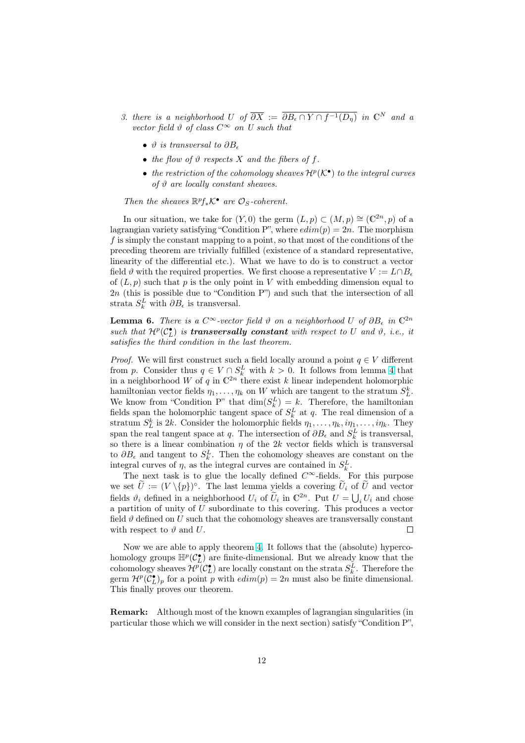- 3. there is a neighborhood U of  $\overline{\partial X} := \overline{\partial B_{\epsilon} \cap Y \cap f^{-1}(D_{\eta})}$  in  $\mathbb{C}^N$  and a vector field  $\vartheta$  of class  $C^{\infty}$  on U such that
	- $\vartheta$  is transversal to  $\partial B_{\epsilon}$
	- the flow of  $\vartheta$  respects X and the fibers of f.
	- the restriction of the cohomology sheaves  $\mathcal{H}^p(\mathcal{K}^{\bullet})$  to the integral curves of  $\vartheta$  are locally constant sheaves.

Then the sheaves  $\mathbb{R}^p f_* \mathcal{K}^{\bullet}$  are  $\mathcal{O}_S$ -coherent.

In our situation, we take for  $(Y, 0)$  the germ  $(L, p) \subset (M, p) \cong (\mathbb{C}^{2n}, p)$  of a lagrangian variety satisfying "Condition P", where  $edim(p) = 2n$ . The morphism f is simply the constant mapping to a point, so that most of the conditions of the preceding theorem are trivially fulfilled (existence of a standard representative, linearity of the differential etc.). What we have to do is to construct a vector field  $\vartheta$  with the required properties. We first choose a representative  $V := L \cap B_{\epsilon}$ of  $(L, p)$  such that p is the only point in V with embedding dimension equal to 2n (this is possible due to "Condition P") and such that the intersection of all strata  $S_k^L$  with  $\partial B_{\epsilon}$  is transversal.

**Lemma 6.** There is a  $C^{\infty}$ -vector field  $\vartheta$  on a neighborhood U of  $\partial B_{\epsilon}$  in  $\mathbb{C}^{2n}$ such that  $\mathcal{H}^p(\mathcal{C}_{L}^{\bullet})$  is **transversally constant** with respect to U and  $\vartheta$ , i.e., it satisfies the third condition in the last theorem.

*Proof.* We will first construct such a field locally around a point  $q \in V$  different from p. Consider thus  $q \in V \cap S_k^L$  with  $k > 0$ . It follows from lemma 4 that in a neighborhood W of q in  $\mathbb{C}^{2n}$  there exist k linear independent holomorphic hamiltonian vector fields  $\eta_1, \ldots, \eta_k$  on W which are tangent to the stratum  $S^k_L$ . We know from "Condition P" that  $\dim(S_k^L) = k$ . Therefore, the hamiltonian fields span the holomorphic tangent space of  $S_k^L$  at q. The real dimensi[on](#page-7-0) of a stratum  $S_L^k$  is 2k. Consider the holomorphic fields  $\eta_1, \ldots, \eta_k, i\eta_1, \ldots, i\eta_k$ . They span the real tangent space at q. The intersection of  $\partial B_{\epsilon}$  and  $S_k^L$  is transversal, so there is a linear combination  $\eta$  of the 2k vector fields which is transversal to  $\partial B_{\epsilon}$  and tangent to  $S_k^L$ . Then the cohomology sheaves are constant on the integral curves of  $\eta$ , as the integral curves are contained in  $S_k^L$ .

The next task is to glue the locally defined  $C^{\infty}$ -fields. For this purpose we set  $\tilde{U} := (V \setminus \{p\})^{\circ}$ . The last lemma yields a covering  $\tilde{U}_i$  of  $\tilde{U}$  and vector we set  $U := (V \setminus \{p\})$ . The last lemma yields a covering  $U_i$  of U and vector fields  $\vartheta_i$  defined in a neighborhood  $U_i$  of  $\widetilde{U}_i$  in  $\mathbb{C}^{2n}$ . Put  $U = \bigcup_i U_i$  and chose a partition of unity of U subordinate to this covering. This produces a vector field  $\vartheta$  defined on U such that the cohomology sheaves are transversally constant with respect to  $\vartheta$  and U.  $\Box$ 

Now we are able to apply theorem 4. It follows that the (absolute) hypercohomology groups  $\mathbb{H}^p(\mathcal{C}_L^{\bullet})$  are finite-dimensional. But we already know that the cohomology sheaves  $\mathcal{H}^p(\mathcal{C}_{L}^{\bullet})$  are locally constant on the strata  $S_k^L$ . Therefore the germ  $\mathcal{H}^p(\mathcal{C}_{L}^{\bullet})_p$  for a point p with  $edim(p) = 2n$  must also be finite dimensional. This finally proves our theorem.

Remark: Although most of the known examples of lagrangian singularities (in particular those which we will consider in the next section) satisfy "Condition P",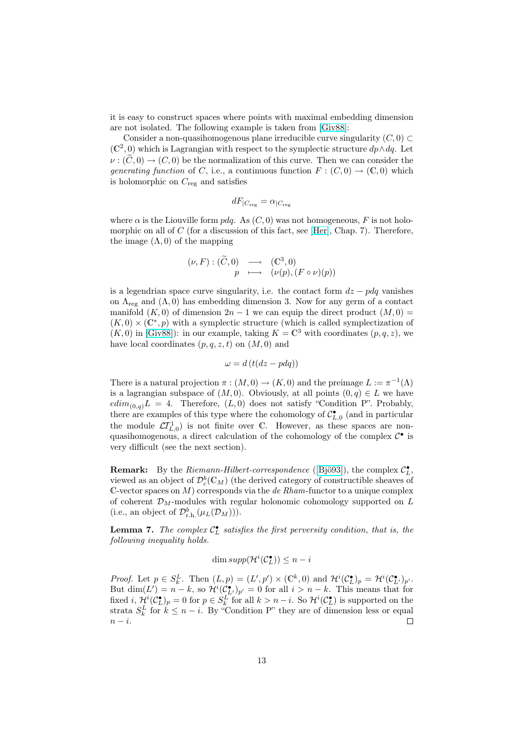it is easy to construct spaces where points with maximal embedding dimension are not isolated. The following example is taken from [Giv88]:

Consider a non-quasihomogenous plane irreducible curve singularity  $(C, 0) \subset$  $(\mathbb{C}^2, 0)$  which is Lagrangian with respect to the symplectic structure  $dp \wedge dq$ . Let  $\nu : (\tilde{C}, 0) \to (C, 0)$  be the normalization of this curve. Then we can consider the generating function of [C,](#page-20-0) i.e., a continuous function  $F: (C, 0) \to (\mathbb{C}, 0)$  which is holomorphic on  $C_{\text{reg}}$  and satisfies

$$
dF_{|C_{\text{reg}}} = \alpha_{|C_{\text{reg}}|}
$$

where  $\alpha$  is the Liouville form  $p dq$ . As  $(C, 0)$  was not homogeneous, F is not holomorphic on all of C (for a discussion of this fact, see [Her], Chap. 7). Therefore, the image  $(\Lambda, 0)$  of the mapping

$$
(\nu, F) : (\widetilde{C}, 0) \longrightarrow (\mathbb{C}^3, 0)
$$
  

$$
p \longmapsto (\nu(p), (F \circ \nu)(p))
$$

is a legendrian space curve singularity, i.e. the contact form  $dz - pdq$  vanishes on  $\Lambda_{reg}$  and  $(\Lambda, 0)$  has embedding dimension 3. Now for any germ of a contact manifold  $(K, 0)$  of dimension  $2n - 1$  we can equip the direct product  $(M, 0)$  =  $(K,0) \times (\mathbb{C}^*,p)$  with a symplectic structure (which is called symplectization of  $(K, 0)$  in [Giv88]): in our example, taking  $K = \mathbb{C}^3$  with coordinates  $(p, q, z)$ , we have local coordinates  $(p, q, z, t)$  on  $(M, 0)$  and

$$
\omega = d \left( t (dz - pdq) \right)
$$

There is [a natura](#page-20-0)l projection  $\pi : (M, 0) \to (K, 0)$  and the preimage  $L := \pi^{-1}(\Lambda)$ is a lagrangian subspace of  $(M, 0)$ . Obviously, at all points  $(0, q) \in L$  we have  $edim_{(0,q)}L = 4$ . Therefore,  $(L, 0)$  does not satisfy "Condition P". Probably, there are examples of this type where the cohomology of  $\mathcal{C}_{L,0}^{\bullet}$  (and in particular the module  $\mathcal{L}I_{L,0}^{1}$  is not finite over C. However, as these spaces are nonquasihomogenous, a direct calculation of the cohomology of the complex  $\mathcal{C}^{\bullet}$  is very difficult (see the next section).

**Remark:** By the *Riemann-Hilbert-correspondence* ([Bjö93]), the complex  $C_{L}^{\bullet}$ , viewed as an object of  $\mathcal{D}_c^b(\mathbb{C}_M)$  (the derived category of constructible sheaves of C-vector spaces on  $M$ ) corresponds via the *de Rham*-functor to a unique complex of coherent  $\mathcal{D}_M$ -modules with regular holonomic cohomology supported on  $L$ (i.e., an object of  $\mathcal{D}_{r.h.}^b(\mu_L(\mathcal{D}_M))).$ 

**Lemma 7.** The complex  $C_{L}^{\bullet}$  satisfies the first perversity condition, that is, the following inequality holds.

$$
\dim supp(\mathcal{H}^i(\mathcal{C}_L^{\bullet})) \leq n - i
$$

*Proof.* Let  $p \in S_k^L$ . Then  $(L, p) = (L', p') \times (\mathbb{C}^k, 0)$  and  $\mathcal{H}^i(\mathcal{C}_L^{\bullet})_p = \mathcal{H}^i(\mathcal{C}_{L'}^{\bullet})_{p'}$ . But  $\dim(L') = n - k$ , so  $\mathcal{H}^i(\mathcal{C}_{L'})_{p'} = 0$  for all  $i > n - k$ . This means that for fixed  $i$ ,  $\mathcal{H}^i(\mathcal{C}_{L}^{\bullet})_p = 0$  for  $p \in S_k^{\overline{L}}$  for all  $k > n - i$ . So  $\mathcal{H}^i(\mathcal{C}_{L}^{\bullet})$  is supported on the strata  $S_k^L$  for  $k \leq n - i$ . By "Condition P" they are of dimension less or equal  $n - i$ .  $\Box$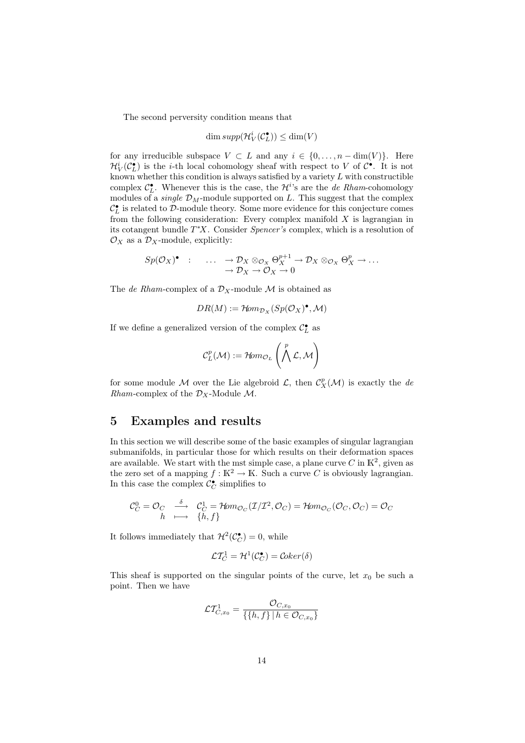The second perversity condition means that

$$
\dim supp(\mathcal{H}_V^i(\mathcal{C}_L^{\bullet})) \le \dim(V)
$$

for any irreducible subspace  $V \subset L$  and any  $i \in \{0, \ldots, n - \dim(V)\}\$ . Here  $\mathcal{H}_V^i(\mathcal{C}_{L}^{\bullet})$  is the *i*-th local cohomology sheaf with respect to V of  $\mathcal{C}^{\bullet}$ . It is not known whether this condition is always satisfied by a variety  $L$  with constructible complex  $\mathcal{C}_{L}^{\bullet}$ . Whenever this is the case, the  $\mathcal{H}^{i}$ 's are the *de Rham*-cohomology modules of a *single*  $\mathcal{D}_M$ -module supported on L. This suggest that the complex  $\mathcal{C}_L^{\bullet}$  is related to D-module theory. Some more evidence for this conjecture comes from the following consideration: Every complex manifold  $X$  is lagrangian in its cotangent bundle T <sup>∗</sup>X. Consider Spencer's complex, which is a resolution of  $\mathcal{O}_X$  as a  $\mathcal{D}_X$ -module, explicitly:

$$
Sp(\mathcal{O}_X)^{\bullet} : \dots \to \mathcal{D}_X \otimes_{\mathcal{O}_X} \Theta_X^{p+1} \to \mathcal{D}_X \otimes_{\mathcal{O}_X} \Theta_X^p \to \dots \to \mathcal{D}_X \to \mathcal{O}_X \to 0
$$

The de Rham-complex of a  $\mathcal{D}_X$ -module M is obtained as

$$
DR(M) := \mathcal{H}om_{\mathcal{D}_X}(Sp(\mathcal{O}_X)^{\bullet}, \mathcal{M})
$$

If we define a generalized version of the complex  $\mathcal{C}^\bullet_L$  as

$$
\mathcal{C}^p_L(\mathcal{M}):=\mathcal{H}\!\mathit{om}_{{\mathcal O}_L}\left(\bigwedge^p\mathcal{L},\mathcal{M}\right)
$$

for some module M over the Lie algebroid  $\mathcal{L}$ , then  $\mathcal{C}_X^p(\mathcal{M})$  is exactly the de Rham-complex of the  $\mathcal{D}_X$ -Module M.

### 5 Examples and results

In this section we will describe some of the basic examples of singular lagrangian submanifolds, in particular those for which results on their deformation spaces are available. We start with the mst simple case, a plane curve C in  $\mathbb{K}^2$ , given as the zero set of a mapping  $f : \mathbb{K}^2 \to \mathbb{K}$ . Such a curve C is obviously lagrangian. In this case the complex  $\mathcal{C}^{\bullet}_{C}$  simplifies to

$$
\mathcal{C}_C^0 = \mathcal{O}_C \quad \xrightarrow{\delta} \quad \mathcal{C}_C^1 = \mathcal{H}om_{\mathcal{O}_C}(\mathcal{I}/\mathcal{I}^2, \mathcal{O}_C) = \mathcal{H}om_{\mathcal{O}_C}(\mathcal{O}_C, \mathcal{O}_C) = \mathcal{O}_C
$$
  

$$
h \quad \longmapsto \quad \{h, f\}
$$

It follows immediately that  $\mathcal{H}^2(\mathcal{C}_C^{\bullet}) = 0$ , while

$$
\mathcal{L}\mathcal{T}_C^1 = \mathcal{H}^1(\mathcal{C}_C^{\bullet}) = \mathcal{C}oker(\delta)
$$

This sheaf is supported on the singular points of the curve, let  $x_0$  be such a point. Then we have

$$
\mathcal{L} \mathcal{T}^1_{C,x_0} = \frac{\mathcal{O}_{C,x_0}}{\{\{h,f\} \mid h \in \mathcal{O}_{C,x_0}\}}
$$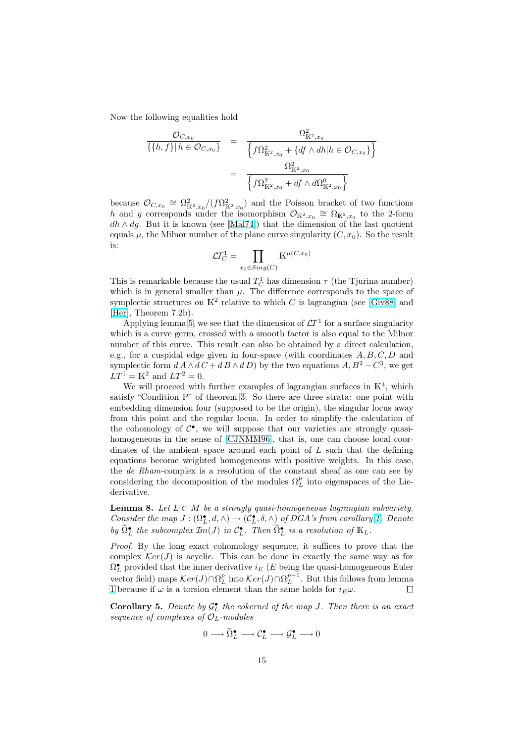Now the following equalities hold

$$
\frac{\mathcal{O}_{C,x_0}}{\{\{h,f\}|h \in \mathcal{O}_{C,x_0}\}} = \frac{\Omega_{\mathbb{K}^2,x_0}^2}{\left\{f\Omega_{\mathbb{K}^2,x_0}^2 + \{df \wedge dh|h \in \mathcal{O}_{C,x_0}\}\right\}}
$$
\n
$$
= \frac{\Omega_{\mathbb{K}^2,x_0}^2}{\left\{f\Omega_{\mathbb{K}^2,x_0}^2 + df \wedge d\Omega_{\mathbb{K}^2,x_0}^0\right\}}
$$

because  $\mathcal{O}_{C,x_0} \cong \Omega^2_{\mathbb{K}^2,x_0}/(f\Omega^2_{\mathbb{K}^2,x_0})$  and the Poisson bracket of two functions h and g corresponds under the isomorphism  $\mathcal{O}_{K^2,x_0} \cong \Omega_{K^2,x_0}$  to the 2-form  $dh \wedge dg$ . But it is known (see [Mal74]) that the dimension of the last quotient equals  $\mu$ , the Milnor number of the plane curve singularity  $(C, x_0)$ . So the result is:  $\overline{y}$ 

$$
\mathcal{L}T_{C}^{1} = \prod_{x_0 \in Sing(C)} \mathbb{K}^{\mu(C, x_0)}
$$

This is remarkable because the usual  $T_C^1$  has dimension  $\tau$  (the Tjurina number) which is in general smaller than  $\mu$ . The difference corresponds to the space of symplectic structures on  $\mathbb{K}^2$  relative to which C is lagrangian (see [Giv88] and [Her], Theorem 7.2b).

Applying lemma 5, we see that the dimension of  $\mathcal{L}T^1$  for a surface singularity which is a curve germ, crossed with a smooth factor is also equal to the Milnor number of this curve. This result can also be obtained by a direct [calcula](#page-20-0)tion, [e.g.,](#page-20-0) for a cuspidal edge given in four-space (with coordinates  $A, B, C, D$  and symplectic form  $dA \wedge dC + dB \wedge dD$  by the two equations  $A, B^2 - C^3$ , we get  $LT<sup>1</sup> = K<sup>2</sup>$  and  $LT<sup>2</sup> = 0$ .

We will proceed with further examples of lagrangian surfaces in  $K<sup>4</sup>$ , which satisfy "Condition P" of theorem 3. So there are three strata: one point with embedding dimension four (supposed to be the origin), the singular locus away from this point and the regular locus. In order to simplify the calculation of the cohomology of  $C^{\bullet}$ , we will suppose that our varieties are strongly quasi-homogeneous in the sense of [CJ[NM](#page-8-0)M96], that is, one can choose local coordinates of the ambient space around each point of  $L$  such that the defining equations become weighted homogeneous with positive weights. In this case, the de Rham-complex is a resolution of the constant sheaf as one can see by considering the decompositio[n of the mod](#page-20-0)ules  $\Omega_L^p$  into eigenspaces of the Liederivative.

**Lemma 8.** Let  $L \subset M$  be a strongly quasi-homogeneous lagrangian subvariety. Consider the map  $J: (\Omega_L^{\bullet}, d, \wedge) \to (\mathcal{C}_L^{\bullet}, \delta, \wedge)$  of DGA's from corollary 1. Denote by  $\widetilde{\Omega}_L^{\bullet}$  the subcomplex  $\mathcal{I}_m(J)$  in  $\mathcal{C}_L^{\bullet}$ . Then  $\widetilde{\Omega}_L^{\bullet}$  is a resolution of  $\mathbb{K}_L$ .

Proof. By the long exact cohomology sequence, it suffices to prove that the complex  $Ker(J)$  is acyclic. This can be done in exactly the same way as for  $\Omega^\bullet_L$  provided that the inner derivative  $i_E$  ( $E$  being the quasi-homogen[eo](#page-3-0)us Euler vector field) maps  $\mathcal{K}er(J) \cap \Omega_L^p$  into  $\mathcal{K}er(J) \cap \Omega_L^{p-1}$ . But this follows from lemma 1 because if  $\omega$  is a torsion element than the same holds for  $i_E \omega$ .  $\Box$ 

**Corollary 5.** Denote by  $\mathcal{G}_{L}^{\bullet}$  the cokernel of the map J. Then there is an exact sequence of complexes of  $\mathcal{O}_L$ -modules

$$
0 \longrightarrow \widetilde{\Omega}_L^{\bullet} \longrightarrow \mathcal{C}_L^{\bullet} \longrightarrow \mathcal{G}_L^{\bullet} \longrightarrow 0
$$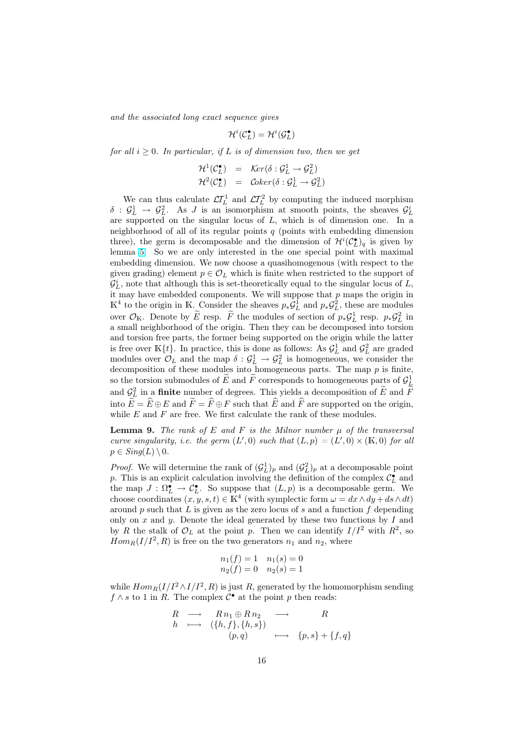and the associated long exact sequence gives

$$
\mathcal{H}^i(\mathcal{C}^\bullet_L) = \mathcal{H}^i(\mathcal{G}^\bullet_L)
$$

for all  $i \geq 0$ . In particular, if L is of dimension two, then we get

$$
\mathcal{H}^{1}(\mathcal{C}_{L}^{\bullet}) = \text{Ker}(\delta : \mathcal{G}_{L}^{1} \to \mathcal{G}_{L}^{2})
$$
  

$$
\mathcal{H}^{2}(\mathcal{C}_{L}^{\bullet}) = \text{Coker}(\delta : \mathcal{G}_{L}^{1} \to \mathcal{G}_{L}^{2})
$$

We can thus calculate  $\mathcal{L}T_L^1$  and  $\mathcal{L}T_L^2$  by computing the induced morphism  $\delta$  :  $\mathcal{G}_L^1$   $\rightarrow$   $\mathcal{G}_L^2$ . As J is an isomorphism at smooth points, the sheaves  $\mathcal{G}_L^i$ are supported on the singular locus of L, which is of dimension one. In a neighborhood of all of its regular points  $q$  (points with embedding dimension three), the germ is decomposable and the dimension of  $\mathcal{H}^{i}(\mathcal{C}_{L}^{\bullet})_{q}$  is given by lemma 5. So we are only interested in the one special point with maximal embedding dimension. We now choose a quasihomogenous (with respect to the given grading) element  $p \in \mathcal{O}_L$  which is finite when restricted to the support of  $\mathcal{G}_{L}^{i}$ , note that although this is set-theoretically equal to the singular locus of L, it may [ha](#page-9-0)ve embedded components. We will suppose that  $p$  maps the origin in K<sup>4</sup> to the origin in K. Consider the sheaves  $p_*\mathcal{G}_L^1$  and  $p_*\mathcal{G}_L^2$ , these are modules over  $\mathcal{O}_K$ . Denote by  $\widetilde{E}$  resp.  $\widetilde{F}$  the modules of section of  $p_*\mathcal{G}_L^1$  resp.  $p_*\mathcal{G}_L^2$  in a small neighborhood of the origin. Then they can be decomposed into torsion and torsion free parts, the former being supported on the origin while the latter is free over  $\mathbb{K}\{t\}$ . In practice, this is done as follows: As  $\mathcal{G}_L^1$  and  $\mathcal{G}_L^2$  are graded modules over  $\mathcal{O}_L$  and the map  $\delta: \mathcal{G}_L^1 \to \mathcal{G}_L^2$  is homogeneous, we consider the decomposition of these modules into homogeneous parts. The map  $p$  is finite, so the torsion submodules of  $\widetilde{E}$  and  $\widetilde{F}$  corresponds to homogeneous parts of  $\mathcal{G}_L^1$ and  $\mathcal{G}_L^2$  in a **finite** number of degrees. This yields a decomposition of  $\widetilde{E}$  and  $\widetilde{F}$ into  $\widetilde{E} = \widehat{E} \oplus E$  and  $\widetilde{F} = \widehat{F} \oplus F$  such that  $\widehat{E}$  and  $\widehat{F}$  are supported on the origin, while  $E$  and  $F$  are free. We first calculate the rank of these modules.

**Lemma 9.** The rank of E and F is the Milnor number  $\mu$  of the transversal curve singularity, i.e. the germ  $(L', 0)$  such that  $(L, p) = (L', 0) \times (\mathbb{K}, 0)$  for all  $p \in Sing(L) \setminus 0$ .

*Proof.* We will determine the rank of  $(\mathcal{G}_L^1)_p$  and  $(\mathcal{G}_L^2)_p$  at a decomposable point p. This is an explicit calculation involving the definition of the complex  $\mathcal{C}_{L}^{\bullet}$  and the map  $J : \Omega_L^{\bullet} \to \mathcal{C}_L^{\bullet}$ . So suppose that  $(L, p)$  is a decomposable germ. We choose coordinates  $(x, y, s, t) \in \mathbb{K}^4$  (with symplectic form  $\omega = dx \wedge dy + ds \wedge dt$ ) around p such that L is given as the zero locus of s and a function f depending only on  $x$  and  $y$ . Denote the ideal generated by these two functions by  $I$  and by R the stalk of  $\mathcal{O}_L$  at the point p. Then we can identify  $I/I^2$  with  $R^2$ , so  $Hom_R(I/I^2, R)$  is free on the two generators  $n_1$  and  $n_2$ , where

$$
n_1(f) = 1 \quad n_1(s) = 0
$$
  

$$
n_2(f) = 0 \quad n_2(s) = 1
$$

while  $Hom_R(I/I^2 \wedge I/I^2, R)$  is just R, generated by the homomorphism sending  $f \wedge s$  to 1 in R. The complex  $\mathcal{C}^{\bullet}$  at the point p then reads:

$$
R \longrightarrow R n_1 \oplus R n_2 \longrightarrow R
$$
  
\n
$$
h \longrightarrow (\{h, f\}, \{h, s\})
$$
  
\n
$$
(p, q) \longrightarrow \{p, s\} + \{f, q\}
$$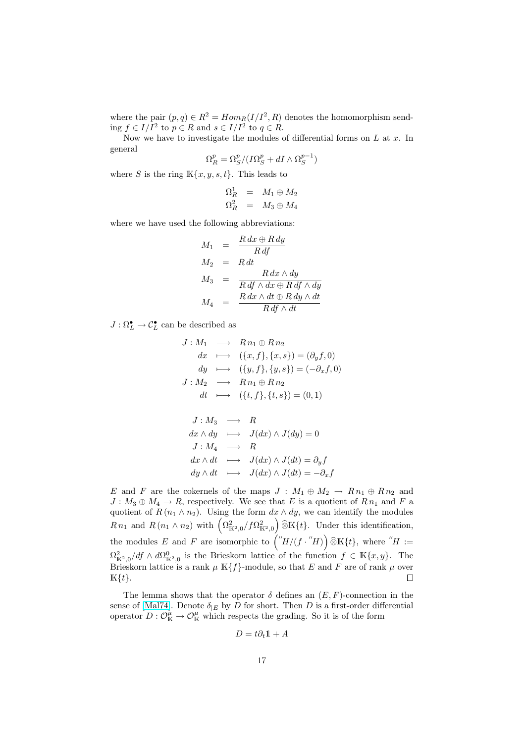where the pair  $(p, q) \in R^2 = Hom_R(I/I^2, R)$  denotes the homomorphism sending  $f \in I/I^2$  to  $p \in R$  and  $s \in I/I^2$  to  $q \in R$ .

Now we have to investigate the modules of differential forms on  $L$  at  $x$ . In general

$$
\Omega_R^p = \Omega_S^p / (I \Omega_S^p + dI \wedge \Omega_S^{p-1})
$$

where S is the ring  $K\{x, y, s, t\}$ . This leads to

$$
\begin{array}{rcl}\n\Omega^1_R & = & M_1 \oplus M_2 \\
\Omega^2_R & = & M_3 \oplus M_4\n\end{array}
$$

where we have used the following abbreviations:

$$
M_1 = \frac{R dx \oplus R dy}{R df}
$$
  
\n
$$
M_2 = R dt
$$
  
\n
$$
M_3 = \frac{R dx \wedge dy}{R df \wedge dx \oplus R df \wedge dy}
$$
  
\n
$$
M_4 = \frac{R dx \wedge dt \oplus R dy \wedge dt}{R df \wedge dt}
$$

 $J:\Omega^{\bullet}_L\to \mathcal{C}^{\bullet}_L$  can be described as

$$
J: M_1 \longrightarrow Rn_1 \oplus Rn_2
$$
  
\n
$$
dx \longrightarrow (\{x, f\}, \{x, s\}) = (\partial_y f, 0)
$$
  
\n
$$
dy \longrightarrow (\{y, f\}, \{y, s\}) = (-\partial_x f, 0)
$$
  
\n
$$
J: M_2 \longrightarrow Rn_1 \oplus Rn_2
$$
  
\n
$$
dt \longmapsto (\{t, f\}, \{t, s\}) = (0, 1)
$$
  
\n
$$
J: M_3 \longrightarrow R
$$

$$
dx \wedge dy \longrightarrow J(dx) \wedge J(dy) = 0
$$
  
\n
$$
J: M_4 \longrightarrow R
$$
  
\n
$$
dx \wedge dt \longrightarrow J(dx) \wedge J(dt) = \partial_y f
$$
  
\n
$$
dy \wedge dt \longrightarrow J(dx) \wedge J(dt) = -\partial_x f
$$

E and F are the cokernels of the maps  $J : M_1 \oplus M_2 \rightarrow R n_1 \oplus R n_2$  and  $J: M_3 \oplus M_4 \to R$ , respectively. We see that E is a quotient of  $R n_1$  and F a quotient of  $R(n_1 \wedge n_2)$ . Using the form  $dx \wedge dy$ , we can identify the modules quotient of  $R(n_1 \wedge n_2)$ . Using the form  $ax \wedge ay$ , we can identify the modules  $R n_1$  and  $R(n_1 \wedge n_2)$  with  $\left(\Omega_{K^2,0}^2/f\Omega_{K^2,0}^2\right) \widehat{\otimes} K\{t\}$ . Under this identification, the modules E and F are isomorphic to  $\binom{n}{H/(f \cdot H)} \widehat{\otimes} K\{t\}$ , where  $H :=$  $\Omega_{\mathbb{K}^2,0}^2/df \wedge d\Omega_{\mathbb{K}^2,0}^0$  is the Brieskorn lattice of the function  $f \in \mathbb{K}\lbrace x,y \rbrace$ . The Brieskorn lattice is a rank  $\mu$  K{ $f$ }-module, so that E and F are of rank  $\mu$  over  $K\{t\}.$  $\Box$ 

The lemma shows that the operator  $\delta$  defines an  $(E, F)$ -connection in the sense of [Mal74]. Denote  $\delta_{|E}$  by D for short. Then D is a first-order differential operator  $D: \mathcal{O}_{\mathbb{K}}^{\mu} \to \mathcal{O}_{\mathbb{K}}^{\mu}$  which respects the grading. So it is of the form

$$
D = t\partial_t \mathbb{1} + A
$$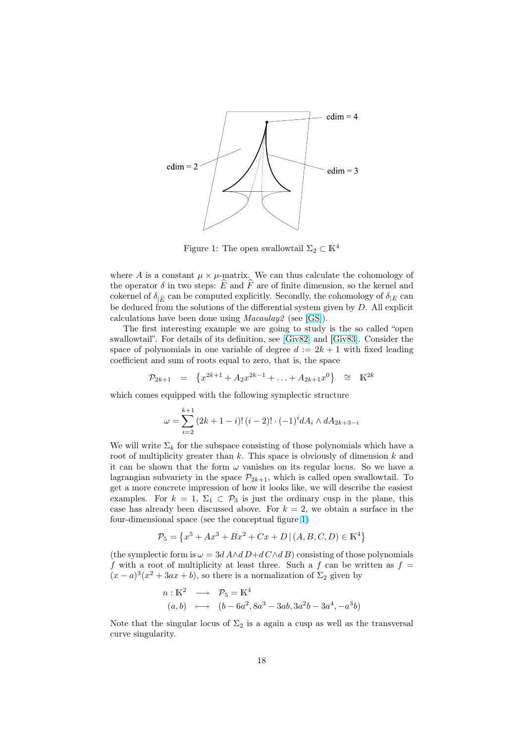

Figure 1: The open swallowtail  $\Sigma_2 \subset \mathbb{K}^4$ 

where A is a constant  $\mu \times \mu$ -matrix. We can thus calculate the cohomology of the operator  $\delta$  in two steps:  $\widehat{E}$  and  $\widehat{F}$  are of finite dimension, so the kernel and cokernel of  $\delta_{|\widehat{E}}$  can be computed explicitly. Secondly, the cohomology of  $\delta_{|E}$  can be deduced from the solutions of the differential system given by D. All explicit calculations have been done using Macaulay2 (see [GS]).

The first interesting example we are going to study is the so called "open swallowtail". For details of its definition, see [Giv82] and [Giv83]. Consider the space of polynomials in one variable of degree  $d := 2k + 1$  with fixed leading coefficient and sum of roots equal to zero, that is, [the s](#page-20-0)pace

$$
\mathcal{P}_{2k+1} = \left\{ x^{2k+1} + A_2 x^{2k-1} + \ldots + A_{2k+1} x^0 \right\} \cong \mathbb{K}^{2k}
$$

which comes equipped with the following symplectic structure

$$
\omega = \sum_{i=2}^{k+1} (2k+1-i)!(i-2)! \cdot (-1)^i dA_i \wedge dA_{2k+3-i}
$$

We will write  $\Sigma_k$  for the subspace consisting of those polynomials which have a root of multiplicity greater than  $k$ . This space is obviously of dimension  $k$  and it can be shown that the form  $\omega$  vanishes on its regular locus. So we have a lagrangian subvariety in the space  $\mathcal{P}_{2k+1}$ , which is called open swallowtail. To get a more concrete impression of how it looks like, we will describe the easiest examples. For  $k = 1$ ,  $\Sigma_1 \subset \mathcal{P}_3$  is just the ordinary cusp in the plane, this case has already been discussed above. For  $k = 2$ , we obtain a surface in the four-dimensional space (see the conceptual figure 1)

$$
\mathcal{P}_5 = \left\{ x^5 + Ax^3 + Bx^2 + Cx + D \, | \, (A, B, C, D) \in \mathbb{K}^4 \right\}
$$

(the symplectic form is  $\omega = 3d A \wedge d D + d C \wedge d B$ ) consisting of those polynomials f with a root of multiplicity at least three. Such a f can be written as  $f =$  $(x-a)^3(x^2+3ax+b)$ , so there is a normalization of  $\Sigma_2$  given by

$$
n: \mathbb{K}^2 \longrightarrow \mathcal{P}_5 = \mathbb{K}^4
$$
  
(a, b) 
$$
\longmapsto (b - 6a^2, 8a^3 - 3ab, 3a^2b - 3a^4, -a^3b)
$$

Note that the singular locus of  $\Sigma_2$  is a again a cusp as well as the transversal curve singularity.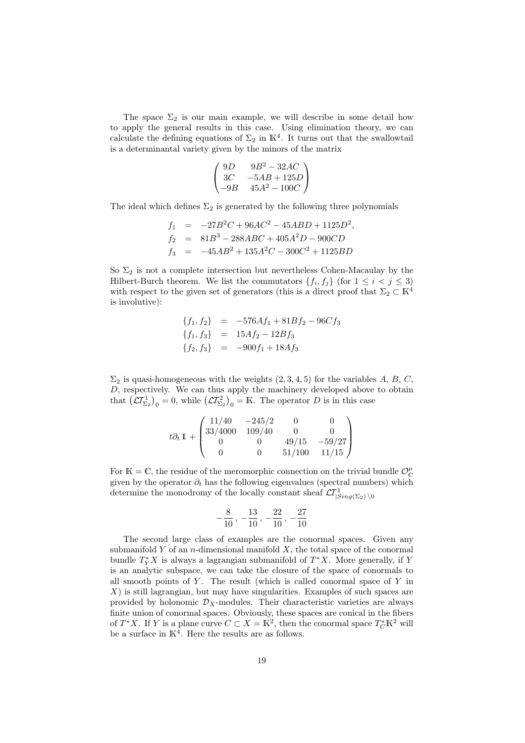The space  $\Sigma_2$  is our main example, we will describe in some detail how to apply the general results in this case. Using elimination theory, we can calculate the defining equations of  $\Sigma_2$  in K<sup>4</sup>. It turns out that the swallowtail is a determinantal variety given by the minors of the matrix

$$
\begin{pmatrix} 9D & 9B^2 - 32AC \\ 3C & -5AB + 125D \\ -9B & 45A^2 - 100C \end{pmatrix}
$$

The ideal which defines  $\Sigma_2$  is generated by the following three polynomials

$$
f_1 = -27B^2C + 96AC^2 - 45ABD + 1125D^2,
$$
  
\n
$$
f_2 = 81B^3 - 288ABC + 405A^2D - 900CD
$$
  
\n
$$
f_3 = -45AB^2 + 135A^2C - 300C^2 + 1125BD
$$

So  $\Sigma_2$  is not a complete intersection but nevertheless Cohen-Macaulay by the Hilbert-Burch theorem. We list the commutators  $\{f_i, f_j\}$  (for  $1 \leq i < j \leq 3$ ) with respect to the given set of generators (this is a direct proof that  $\Sigma_2 \subset \mathbb{K}^4$ is involutive):

$$
\{f_1, f_2\} = -576Af_1 + 81Bf_2 - 96Cf_3
$$
  

$$
\{f_1, f_3\} = 15Af_2 - 12Bf_3
$$
  

$$
\{f_2, f_3\} = -900f_1 + 18Af_3
$$

 $\Sigma_2$  is quasi-homogeneous with the weights  $(2, 3, 4, 5)$  for the variables A, B, C, D, respectively. We can thus apply the machinery developed above to obtain D, respectively. We can thus apply the machinery developed above<br>that  $(\mathcal{L}T_{\Sigma_2}^1)_0 = 0$ , while  $(\mathcal{L}T_{\Sigma_2}^2)_0 = \mathbb{K}$ . The operator D is in this case

$$
t\partial_t 1 + \begin{pmatrix} 11/40 & -245/2 & 0 & 0 \\ 33/4000 & 109/40 & 0 & 0 \\ 0 & 0 & 49/15 & -59/27 \\ 0 & 0 & 51/100 & 11/15 \end{pmatrix}
$$

For  $\mathbb{K} = \mathbb{C}$ , the residue of the meromorphic connection on the trivial bundle  $\mathcal{O}_{\mathbb{C}}^{\mu}$ given by the operator  $\partial_t$  has the following eigenvalues (spectral numbers) which determine the monodromy of the locally constant sheaf  $\mathcal{L}I_{|Sing(\Sigma_2) \setminus 0}^1$ 

$$
-\frac{8}{10}\, ,\, -\frac{13}{10}\, ,\, -\frac{22}{10}\, ,\, -\frac{27}{10}
$$

The second large class of examples are the conormal spaces. Given any submanifold Y of an *n*-dimensional manifold  $X$ , the total space of the conormal bundle  $T_Y^*X$  is always a lagrangian submanifold of  $T^*X$ . More generally, if Y is an analytic subspace, we can take the closure of the space of conormals to all smooth points of  $Y$ . The result (which is called conormal space of  $Y$  in  $X$ ) is still lagrangian, but may have singularities. Examples of such spaces are provided by holonomic  $\mathcal{D}_X$ -modules. Their characteristic varieties are always finite union of conormal spaces. Obviously, these spaces are conical in the fibers of  $T^*X$ . If Y is a plane curve  $C \subset X = \mathbb{K}^2$ , then the conormal space  $T^*_C \mathbb{K}^2$  will be a surface in  $K<sup>4</sup>$ . Here the results are as follows.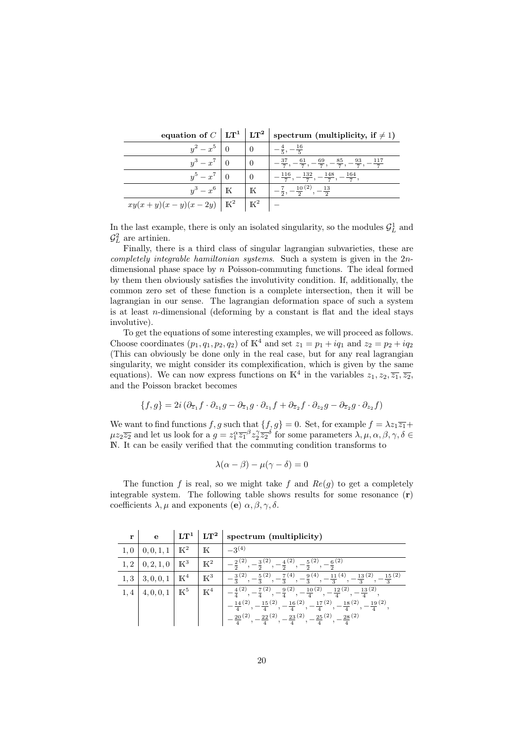equation of  $C$   $\mid$  LT<sup>1</sup>  $\mid$  LT<sup>2</sup>  $\mid$  spectrum (multiplicity, if  $\neq$  1)

|                                             |                | $\cdot$ $\cdot$                                                                                               |
|---------------------------------------------|----------------|---------------------------------------------------------------------------------------------------------------|
| $y^2-x^5$                                   |                | $_{\rule{0pt}{6pt}-}$ 16<br>$-\frac{1}{5}$<br>$\overline{5}$ ,                                                |
| $y^3 - x^7$                                 |                | $-37$<br>$\frac{37}{7}, -\frac{61}{7}, -\frac{69}{7}, -\frac{85}{7}, -\frac{93}{7}, -\frac{117}{7}$<br>$-117$ |
| $y^5-x^7$                                   |                | $-\frac{132}{7}, -\frac{148}{7}, -\frac{164}{7}$<br>116                                                       |
| $y^3-x^6$   K                               | $\mathbb K$    | $-\frac{7}{2}$ , $-\frac{10}{2}$<br>$, -\frac{13}{2}$<br>$-\frac{1}{2}$<br>$\overline{2}$ ,                   |
| $xy(x + y)(x - y)(x - 2y)$   K <sup>2</sup> | $\mathbb{K}^2$ |                                                                                                               |

In the last example, there is only an isolated singularity, so the modules  $\mathcal{G}_L^1$  and  $\mathcal{G}_L^2$  are artinien.

Finally, there is a third class of singular lagrangian subvarieties, these are completely integrable hamiltonian systems. Such a system is given in the 2ndimensional phase space by  $n$  Poisson-commuting functions. The ideal formed by them then obviously satisfies the involutivity condition. If, additionally, the common zero set of these function is a complete intersection, then it will be lagrangian in our sense. The lagrangian deformation space of such a system is at least *n*-dimensional (deforming by a constant is flat and the ideal stays involutive).

To get the equations of some interesting examples, we will proceed as follows. Choose coordinates  $(p_1, q_1, p_2, q_2)$  of  $\mathbb{K}^4$  and set  $z_1 = p_1 + iq_1$  and  $z_2 = p_2 + iq_2$ (This can obviously be done only in the real case, but for any real lagrangian singularity, we might consider its complexification, which is given by the same equations). We can now express functions on  $\mathbb{K}^4$  in the variables  $z_1, z_2, \overline{z_1}, \overline{z_2}$ , and the Poisson bracket becomes

$$
\{f,g\} = 2i \left(\partial_{\overline{z}_1} f \cdot \partial_{z_1} g - \partial_{\overline{z}_1} g \cdot \partial_{z_1} f + \partial_{\overline{z}_2} f \cdot \partial_{z_2} g - \partial_{\overline{z}_2} g \cdot \partial_{z_2} f\right)
$$

We want to find functions f, g such that  $\{f, g\} = 0$ . Set, for example  $f = \lambda z_1 \overline{z_1} +$  $\mu z_2 \overline{z_2}$  and let us look for a  $g = z_1^{\alpha} \overline{z_1}^{\beta} z_2^{\gamma} \overline{z_2}^{\delta}$  for some parameters  $\lambda, \mu, \alpha, \beta, \gamma, \delta \in$ N. It can be easily verified that the commuting condition transforms to

$$
\lambda(\alpha - \beta) - \mu(\gamma - \delta) = 0
$$

The function f is real, so we might take f and  $Re(g)$  to get a completely integrable system. The following table shows results for some resonance  $(r)$ coefficients  $\lambda, \mu$  and exponents (e)  $\alpha, \beta, \gamma, \delta$ .

 $\begin{array}{ccc} \text{r} & \text{e} & |\text{LT}^1\mid \text{LT}^2\mid \text{spectrum (multiplicity)} \end{array}$ 

| 1,0 | $\mid 0,0,1,1 \mid K^2 \mid$ |                | $\mathbb K$     | $-3^{(4)}$                                                                                                                                      |
|-----|------------------------------|----------------|-----------------|-------------------------------------------------------------------------------------------------------------------------------------------------|
| 1,2 | 0, 2, 1, 0                   | $\mathbb{K}^3$ | $\mathbb{K}^2$  | $-\frac{2}{2}^{(2)}$<br>$\frac{3}{2}$ (2)<br>$-\frac{4}{2}^{(2)},$<br>$-\frac{6}{2}^{(2)}$<br>$-\frac{5}{2}^{(2)},$                             |
| 1,3 | $ 3,0,0,1  \mathbb{K}^4$     |                | $\mathbbm{K}^3$ | $-\frac{3}{3}^{(2)}, -\frac{5}{3}^{(2)}, -\frac{7}{3}^{(4)}, -\frac{9}{3}^{(4)}, -\frac{11}{3}^{(4)}, -\frac{13}{3}^{(2)}, -\frac{15}{3}^{(2)}$ |
| 1,4 | 4,0,0,1                      | $\mathbb{K}^5$ | $\mathbbm{K}^4$ | $-\frac{4}{4}^{(2)}, -\frac{7}{4}^{(2)}, -\frac{9}{4}^{(2)}, -\frac{10}{4}^{(2)}, -\frac{12}{4}^{(2)}, -\frac{13}{4}^{(2)}$                     |
|     |                              |                |                 | $-\frac{14}{4}^{(2)}, -\frac{15}{4}^{(2)}, -\frac{16}{4}^{(2)}, -\frac{17}{4}^{(2)}, -\frac{18}{4}^{(2)}, -\frac{19}{4}^{(2)}$                  |
|     |                              |                |                 | $-\frac{20}{4}^{(2)}, -\frac{22}{4}^{(2)}, -\frac{23}{4}^{(2)}, -\frac{25}{4}^{(2)}, -\frac{28}{4}^{(2)}$                                       |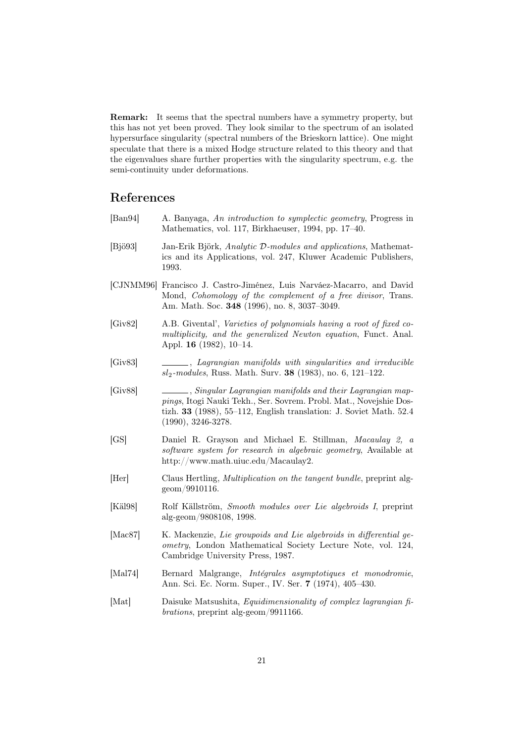<span id="page-20-0"></span>Remark: It seems that the spectral numbers have a symmetry property, but this has not yet been proved. They look similar to the spectrum of an isolated hypersurface singularity (spectral numbers of the Brieskorn lattice). One might speculate that there is a mixed Hodge structure related to this theory and that the eigenvalues share further properties with the singularity spectrum, e.g. the semi-continuity under deformations.

## References

- [Ban94] A. Banyaga, An introduction to symplectic geometry, Progress in Mathematics, vol. 117, Birkhaeuser, 1994, pp. 17–40.
- [Bjö93] Jan-Erik Björk, Analytic D-modules and applications, Mathematics and its Applications, vol. 247, Kluwer Academic Publishers, 1993.
- [CJNMM96] Francisco J. Castro-Jiménez, Luis Narváez-Macarro, and David Mond, Cohomology of the complement of a free divisor, Trans. Am. Math. Soc. 348 (1996), no. 8, 3037–3049.
- [Giv82] A.B. Givental', Varieties of polynomials having a root of fixed comultiplicity, and the generalized Newton equation, Funct. Anal. Appl. 16 (1982), 10–14.
- [Giv83] , Lagrangian manifolds with singularities and irreducible  $sl_2$ -modules, Russ. Math. Surv. 38 (1983), no. 6, 121–122.
- [Giv88] , Singular Lagrangian manifolds and their Lagrangian mappings, Itogi Nauki Tekh., Ser. Sovrem. Probl. Mat., Novejshie Dostizh. 33 (1988), 55–112, English translation: J. Soviet Math. 52.4 (1990), 3246-3278.
- [GS] Daniel R. Grayson and Michael E. Stillman, Macaulay 2, a software system for research in algebraic geometry, Available at http://www.math.uiuc.edu/Macaulay2.
- [Her] Claus Hertling, Multiplication on the tangent bundle, preprint alggeom/9910116.
- [Käl98] Rolf Källström, Smooth modules over Lie algebroids I, preprint alg-geom/9808108, 1998.
- [Mac87] K. Mackenzie, Lie groupoids and Lie algebroids in differential geometry, London Mathematical Society Lecture Note, vol. 124, Cambridge University Press, 1987.
- [Mal74] Bernard Malgrange, Intégrales asymptotiques et monodromie, Ann. Sci. Ec. Norm. Super., IV. Ser. 7 (1974), 405–430.
- [Mat] Daisuke Matsushita, *Equidimensionality of complex lagrangian fi*brations, preprint alg-geom/9911166.